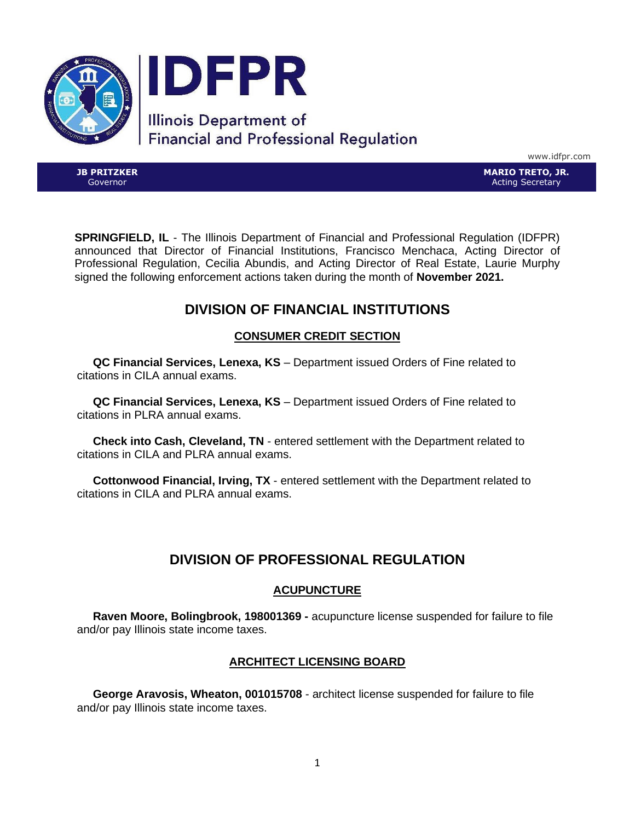

www.idfpr.com

**JB PRITZKER** Governor

**MARIO TRETO, JR.** Acting Secretary

**SPRINGFIELD, IL** - The Illinois Department of Financial and Professional Regulation (IDFPR) announced that Director of Financial Institutions, Francisco Menchaca, Acting Director of Professional Regulation, Cecilia Abundis, and Acting Director of Real Estate, Laurie Murphy signed the following enforcement actions taken during the month of **November 2021.**

# **DIVISION OF FINANCIAL INSTITUTIONS**

# **CONSUMER CREDIT SECTION**

 **QC Financial Services, Lenexa, KS** – Department issued Orders of Fine related to citations in CILA annual exams.

 **QC Financial Services, Lenexa, KS** – Department issued Orders of Fine related to citations in PLRA annual exams.

 **Check into Cash, Cleveland, TN** - entered settlement with the Department related to citations in CILA and PLRA annual exams.

 **Cottonwood Financial, Irving, TX** - entered settlement with the Department related to citations in CILA and PLRA annual exams.

# **DIVISION OF PROFESSIONAL REGULATION**

# **ACUPUNCTURE**

 **Raven Moore, Bolingbrook, 198001369 -** acupuncture license suspended for failure to file and/or pay Illinois state income taxes.

# **ARCHITECT LICENSING BOARD**

 **George Aravosis, Wheaton, 001015708** - architect license suspended for failure to file and/or pay Illinois state income taxes.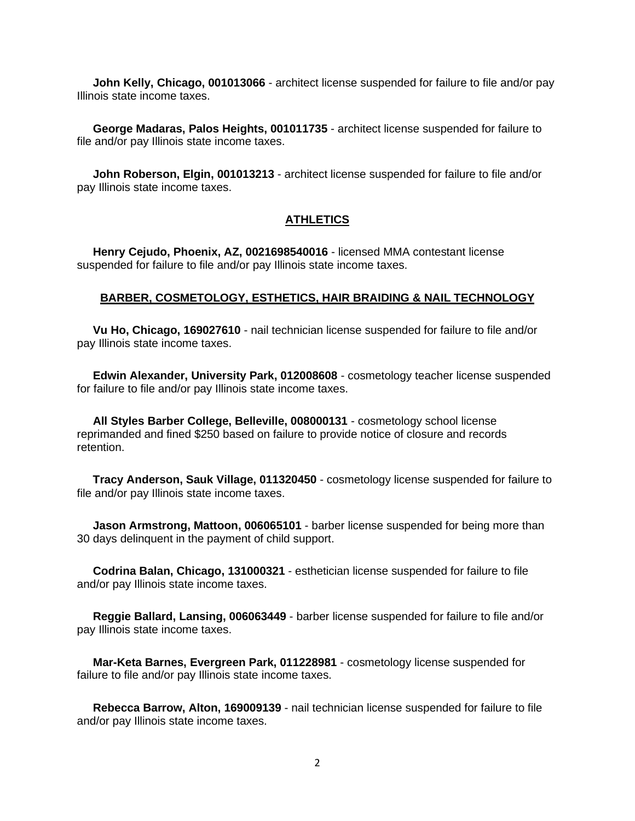**John Kelly, Chicago, 001013066** - architect license suspended for failure to file and/or pay Illinois state income taxes.

 **George Madaras, Palos Heights, 001011735** - architect license suspended for failure to file and/or pay Illinois state income taxes.

 **John Roberson, Elgin, 001013213** - architect license suspended for failure to file and/or pay Illinois state income taxes.

#### **ATHLETICS**

 **Henry Cejudo, Phoenix, AZ, 0021698540016** - licensed MMA contestant license suspended for failure to file and/or pay Illinois state income taxes.

### **BARBER, COSMETOLOGY, ESTHETICS, HAIR BRAIDING & NAIL TECHNOLOGY**

 **Vu Ho, Chicago, 169027610** - nail technician license suspended for failure to file and/or pay Illinois state income taxes.

 **Edwin Alexander, University Park, 012008608** - cosmetology teacher license suspended for failure to file and/or pay Illinois state income taxes.

 **All Styles Barber College, Belleville, 008000131** - cosmetology school license reprimanded and fined \$250 based on failure to provide notice of closure and records retention.

 **Tracy Anderson, Sauk Village, 011320450** - cosmetology license suspended for failure to file and/or pay Illinois state income taxes.

 **Jason Armstrong, Mattoon, 006065101** - barber license suspended for being more than 30 days delinquent in the payment of child support.

 **Codrina Balan, Chicago, 131000321** - esthetician license suspended for failure to file and/or pay Illinois state income taxes.

 **Reggie Ballard, Lansing, 006063449** - barber license suspended for failure to file and/or pay Illinois state income taxes.

 **Mar-Keta Barnes, Evergreen Park, 011228981** - cosmetology license suspended for failure to file and/or pay Illinois state income taxes.

 **Rebecca Barrow, Alton, 169009139** - nail technician license suspended for failure to file and/or pay Illinois state income taxes.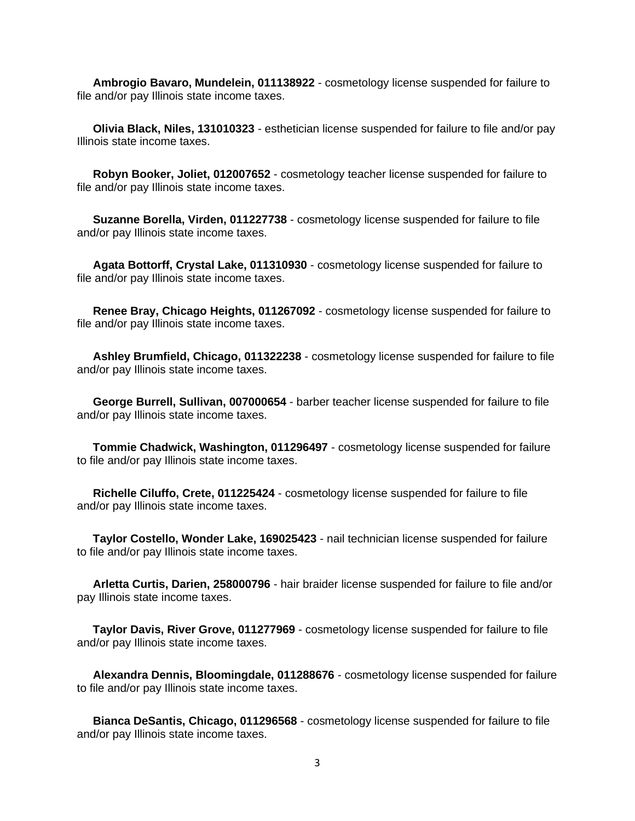**Ambrogio Bavaro, Mundelein, 011138922** - cosmetology license suspended for failure to file and/or pay Illinois state income taxes.

 **Olivia Black, Niles, 131010323** - esthetician license suspended for failure to file and/or pay Illinois state income taxes.

 **Robyn Booker, Joliet, 012007652** - cosmetology teacher license suspended for failure to file and/or pay Illinois state income taxes.

 **Suzanne Borella, Virden, 011227738** - cosmetology license suspended for failure to file and/or pay Illinois state income taxes.

 **Agata Bottorff, Crystal Lake, 011310930** - cosmetology license suspended for failure to file and/or pay Illinois state income taxes.

 **Renee Bray, Chicago Heights, 011267092** - cosmetology license suspended for failure to file and/or pay Illinois state income taxes.

 **Ashley Brumfield, Chicago, 011322238** - cosmetology license suspended for failure to file and/or pay Illinois state income taxes.

 **George Burrell, Sullivan, 007000654** - barber teacher license suspended for failure to file and/or pay Illinois state income taxes.

 **Tommie Chadwick, Washington, 011296497** - cosmetology license suspended for failure to file and/or pay Illinois state income taxes.

 **Richelle Ciluffo, Crete, 011225424** - cosmetology license suspended for failure to file and/or pay Illinois state income taxes.

 **Taylor Costello, Wonder Lake, 169025423** - nail technician license suspended for failure to file and/or pay Illinois state income taxes.

 **Arletta Curtis, Darien, 258000796** - hair braider license suspended for failure to file and/or pay Illinois state income taxes.

 **Taylor Davis, River Grove, 011277969** - cosmetology license suspended for failure to file and/or pay Illinois state income taxes.

 **Alexandra Dennis, Bloomingdale, 011288676** - cosmetology license suspended for failure to file and/or pay Illinois state income taxes.

 **Bianca DeSantis, Chicago, 011296568** - cosmetology license suspended for failure to file and/or pay Illinois state income taxes.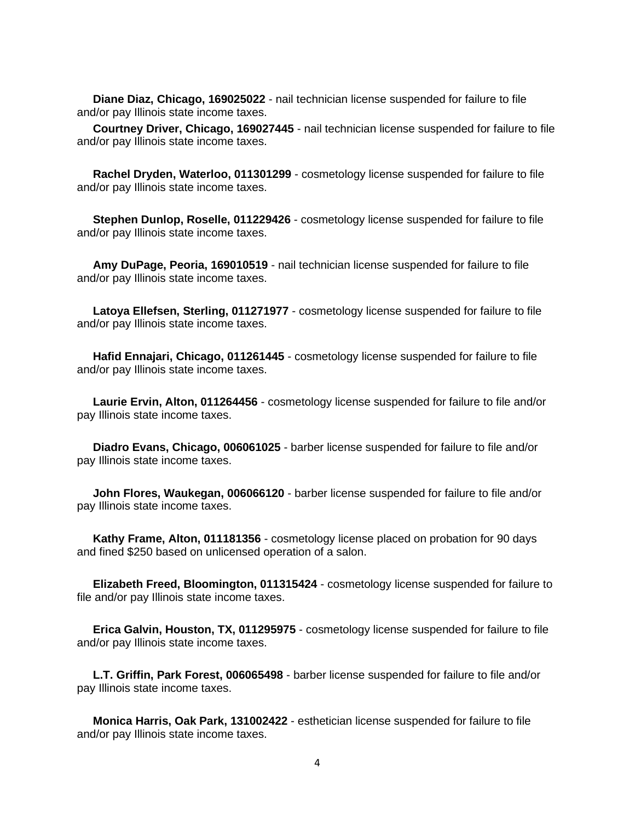**Diane Diaz, Chicago, 169025022** - nail technician license suspended for failure to file and/or pay Illinois state income taxes.

 **Courtney Driver, Chicago, 169027445** - nail technician license suspended for failure to file and/or pay Illinois state income taxes.

 **Rachel Dryden, Waterloo, 011301299** - cosmetology license suspended for failure to file and/or pay Illinois state income taxes.

 **Stephen Dunlop, Roselle, 011229426** - cosmetology license suspended for failure to file and/or pay Illinois state income taxes.

 **Amy DuPage, Peoria, 169010519** - nail technician license suspended for failure to file and/or pay Illinois state income taxes.

 **Latoya Ellefsen, Sterling, 011271977** - cosmetology license suspended for failure to file and/or pay Illinois state income taxes.

 **Hafid Ennajari, Chicago, 011261445** - cosmetology license suspended for failure to file and/or pay Illinois state income taxes.

 **Laurie Ervin, Alton, 011264456** - cosmetology license suspended for failure to file and/or pay Illinois state income taxes.

 **Diadro Evans, Chicago, 006061025** - barber license suspended for failure to file and/or pay Illinois state income taxes.

 **John Flores, Waukegan, 006066120** - barber license suspended for failure to file and/or pay Illinois state income taxes.

 **Kathy Frame, Alton, 011181356** - cosmetology license placed on probation for 90 days and fined \$250 based on unlicensed operation of a salon.

 **Elizabeth Freed, Bloomington, 011315424** - cosmetology license suspended for failure to file and/or pay Illinois state income taxes.

 **Erica Galvin, Houston, TX, 011295975** - cosmetology license suspended for failure to file and/or pay Illinois state income taxes.

 **L.T. Griffin, Park Forest, 006065498** - barber license suspended for failure to file and/or pay Illinois state income taxes.

 **Monica Harris, Oak Park, 131002422** - esthetician license suspended for failure to file and/or pay Illinois state income taxes.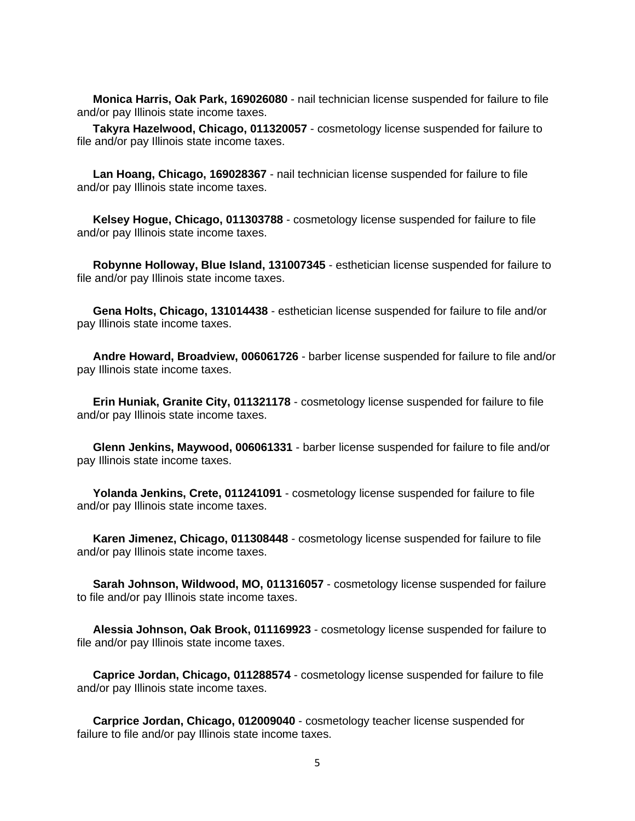**Monica Harris, Oak Park, 169026080** - nail technician license suspended for failure to file and/or pay Illinois state income taxes.

 **Takyra Hazelwood, Chicago, 011320057** - cosmetology license suspended for failure to file and/or pay Illinois state income taxes.

 **Lan Hoang, Chicago, 169028367** - nail technician license suspended for failure to file and/or pay Illinois state income taxes.

 **Kelsey Hogue, Chicago, 011303788** - cosmetology license suspended for failure to file and/or pay Illinois state income taxes.

 **Robynne Holloway, Blue Island, 131007345** - esthetician license suspended for failure to file and/or pay Illinois state income taxes.

 **Gena Holts, Chicago, 131014438** - esthetician license suspended for failure to file and/or pay Illinois state income taxes.

 **Andre Howard, Broadview, 006061726** - barber license suspended for failure to file and/or pay Illinois state income taxes.

 **Erin Huniak, Granite City, 011321178** - cosmetology license suspended for failure to file and/or pay Illinois state income taxes.

 **Glenn Jenkins, Maywood, 006061331** - barber license suspended for failure to file and/or pay Illinois state income taxes.

 **Yolanda Jenkins, Crete, 011241091** - cosmetology license suspended for failure to file and/or pay Illinois state income taxes.

 **Karen Jimenez, Chicago, 011308448** - cosmetology license suspended for failure to file and/or pay Illinois state income taxes.

 **Sarah Johnson, Wildwood, MO, 011316057** - cosmetology license suspended for failure to file and/or pay Illinois state income taxes.

 **Alessia Johnson, Oak Brook, 011169923** - cosmetology license suspended for failure to file and/or pay Illinois state income taxes.

 **Caprice Jordan, Chicago, 011288574** - cosmetology license suspended for failure to file and/or pay Illinois state income taxes.

 **Carprice Jordan, Chicago, 012009040** - cosmetology teacher license suspended for failure to file and/or pay Illinois state income taxes.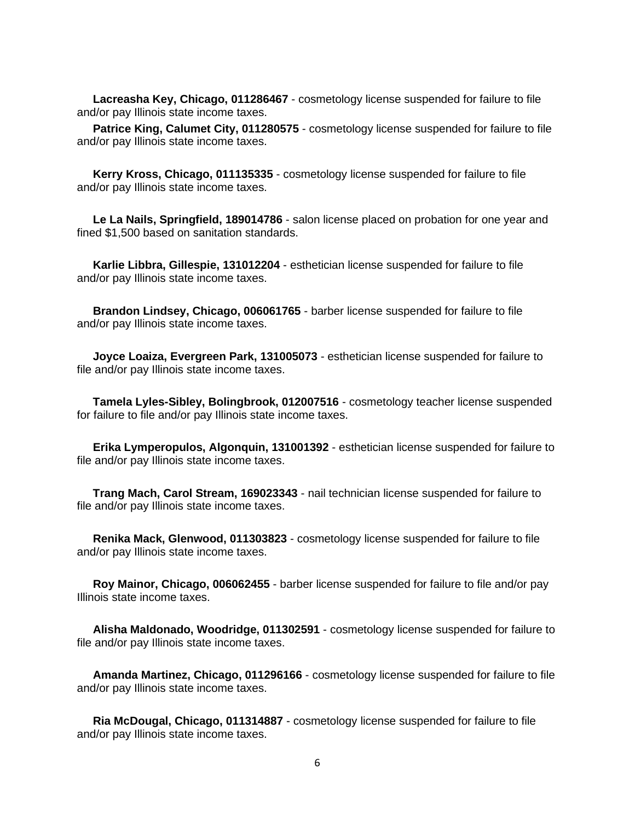**Lacreasha Key, Chicago, 011286467** - cosmetology license suspended for failure to file and/or pay Illinois state income taxes.

Patrice King, Calumet City, 011280575 - cosmetology license suspended for failure to file and/or pay Illinois state income taxes.

 **Kerry Kross, Chicago, 011135335** - cosmetology license suspended for failure to file and/or pay Illinois state income taxes.

 **Le La Nails, Springfield, 189014786** - salon license placed on probation for one year and fined \$1,500 based on sanitation standards.

 **Karlie Libbra, Gillespie, 131012204** - esthetician license suspended for failure to file and/or pay Illinois state income taxes.

 **Brandon Lindsey, Chicago, 006061765** - barber license suspended for failure to file and/or pay Illinois state income taxes.

 **Joyce Loaiza, Evergreen Park, 131005073** - esthetician license suspended for failure to file and/or pay Illinois state income taxes.

 **Tamela Lyles-Sibley, Bolingbrook, 012007516** - cosmetology teacher license suspended for failure to file and/or pay Illinois state income taxes.

 **Erika Lymperopulos, Algonquin, 131001392** - esthetician license suspended for failure to file and/or pay Illinois state income taxes.

 **Trang Mach, Carol Stream, 169023343** - nail technician license suspended for failure to file and/or pay Illinois state income taxes.

 **Renika Mack, Glenwood, 011303823** - cosmetology license suspended for failure to file and/or pay Illinois state income taxes.

 **Roy Mainor, Chicago, 006062455** - barber license suspended for failure to file and/or pay Illinois state income taxes.

 **Alisha Maldonado, Woodridge, 011302591** - cosmetology license suspended for failure to file and/or pay Illinois state income taxes.

 **Amanda Martinez, Chicago, 011296166** - cosmetology license suspended for failure to file and/or pay Illinois state income taxes.

 **Ria McDougal, Chicago, 011314887** - cosmetology license suspended for failure to file and/or pay Illinois state income taxes.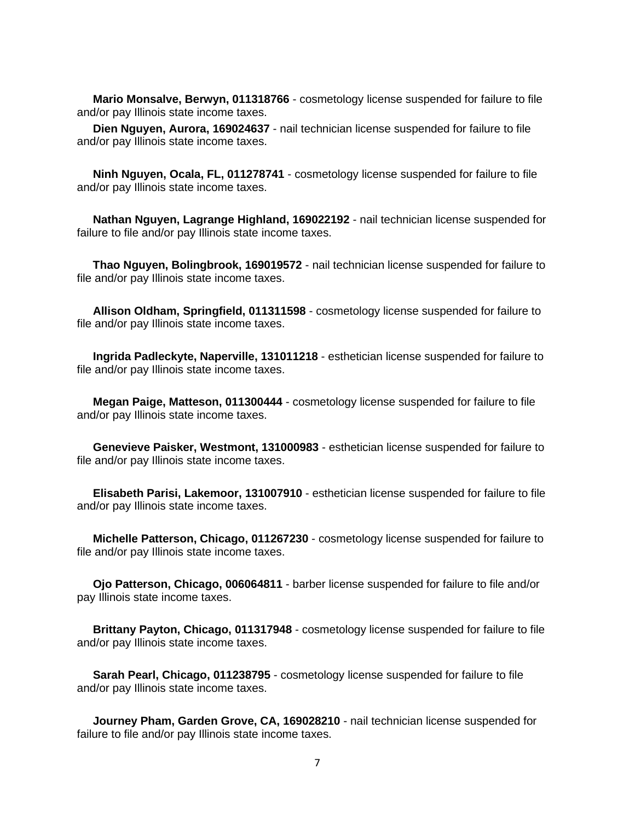**Mario Monsalve, Berwyn, 011318766** - cosmetology license suspended for failure to file and/or pay Illinois state income taxes.

 **Dien Nguyen, Aurora, 169024637** - nail technician license suspended for failure to file and/or pay Illinois state income taxes.

 **Ninh Nguyen, Ocala, FL, 011278741** - cosmetology license suspended for failure to file and/or pay Illinois state income taxes.

 **Nathan Nguyen, Lagrange Highland, 169022192** - nail technician license suspended for failure to file and/or pay Illinois state income taxes.

 **Thao Nguyen, Bolingbrook, 169019572** - nail technician license suspended for failure to file and/or pay Illinois state income taxes.

 **Allison Oldham, Springfield, 011311598** - cosmetology license suspended for failure to file and/or pay Illinois state income taxes.

 **Ingrida Padleckyte, Naperville, 131011218** - esthetician license suspended for failure to file and/or pay Illinois state income taxes.

 **Megan Paige, Matteson, 011300444** - cosmetology license suspended for failure to file and/or pay Illinois state income taxes.

 **Genevieve Paisker, Westmont, 131000983** - esthetician license suspended for failure to file and/or pay Illinois state income taxes.

 **Elisabeth Parisi, Lakemoor, 131007910** - esthetician license suspended for failure to file and/or pay Illinois state income taxes.

 **Michelle Patterson, Chicago, 011267230** - cosmetology license suspended for failure to file and/or pay Illinois state income taxes.

 **Ojo Patterson, Chicago, 006064811** - barber license suspended for failure to file and/or pay Illinois state income taxes.

 **Brittany Payton, Chicago, 011317948** - cosmetology license suspended for failure to file and/or pay Illinois state income taxes.

 **Sarah Pearl, Chicago, 011238795** - cosmetology license suspended for failure to file and/or pay Illinois state income taxes.

 **Journey Pham, Garden Grove, CA, 169028210** - nail technician license suspended for failure to file and/or pay Illinois state income taxes.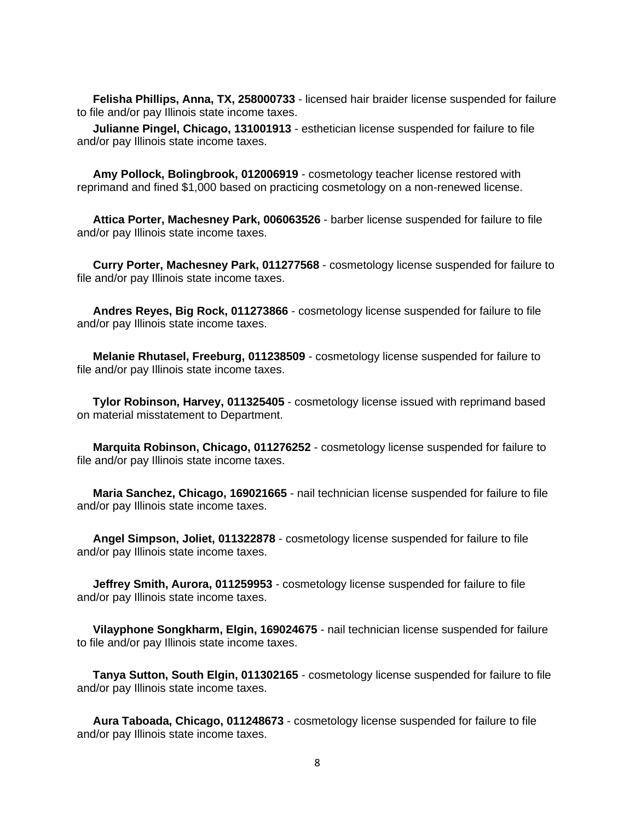**Felisha Phillips, Anna, TX, 258000733** - licensed hair braider license suspended for failure to file and/or pay Illinois state income taxes.

 **Julianne Pingel, Chicago, 131001913** - esthetician license suspended for failure to file and/or pay Illinois state income taxes.

 **Amy Pollock, Bolingbrook, 012006919** - cosmetology teacher license restored with reprimand and fined \$1,000 based on practicing cosmetology on a non-renewed license.

 **Attica Porter, Machesney Park, 006063526** - barber license suspended for failure to file and/or pay Illinois state income taxes.

 **Curry Porter, Machesney Park, 011277568** - cosmetology license suspended for failure to file and/or pay Illinois state income taxes.

 **Andres Reyes, Big Rock, 011273866** - cosmetology license suspended for failure to file and/or pay Illinois state income taxes.

 **Melanie Rhutasel, Freeburg, 011238509** - cosmetology license suspended for failure to file and/or pay Illinois state income taxes.

 **Tylor Robinson, Harvey, 011325405** - cosmetology license issued with reprimand based on material misstatement to Department.

 **Marquita Robinson, Chicago, 011276252** - cosmetology license suspended for failure to file and/or pay Illinois state income taxes.

 **Maria Sanchez, Chicago, 169021665** - nail technician license suspended for failure to file and/or pay Illinois state income taxes.

 **Angel Simpson, Joliet, 011322878** - cosmetology license suspended for failure to file and/or pay Illinois state income taxes.

 **Jeffrey Smith, Aurora, 011259953** - cosmetology license suspended for failure to file and/or pay Illinois state income taxes.

 **Vilayphone Songkharm, Elgin, 169024675** - nail technician license suspended for failure to file and/or pay Illinois state income taxes.

 **Tanya Sutton, South Elgin, 011302165** - cosmetology license suspended for failure to file and/or pay Illinois state income taxes.

 **Aura Taboada, Chicago, 011248673** - cosmetology license suspended for failure to file and/or pay Illinois state income taxes.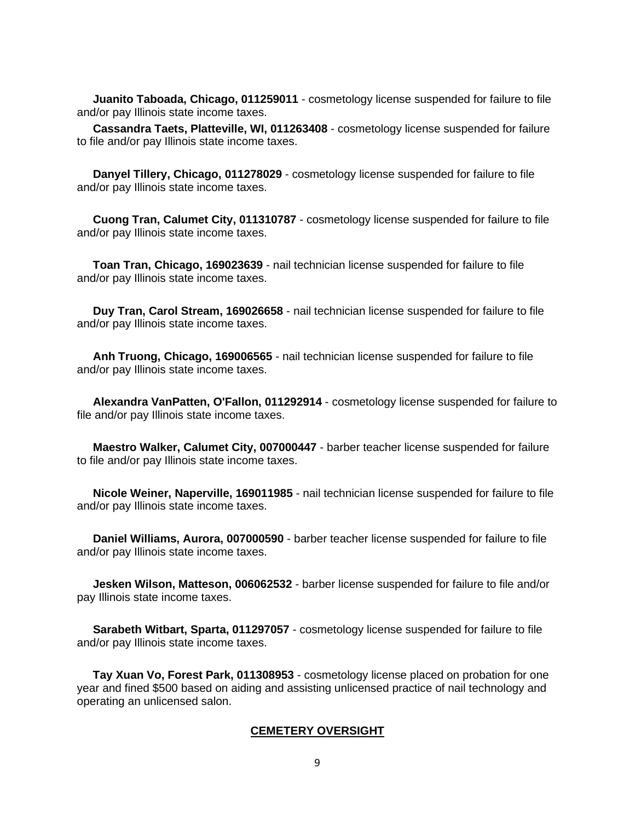**Juanito Taboada, Chicago, 011259011** - cosmetology license suspended for failure to file and/or pay Illinois state income taxes.

 **Cassandra Taets, Platteville, WI, 011263408** - cosmetology license suspended for failure to file and/or pay Illinois state income taxes.

 **Danyel Tillery, Chicago, 011278029** - cosmetology license suspended for failure to file and/or pay Illinois state income taxes.

 **Cuong Tran, Calumet City, 011310787** - cosmetology license suspended for failure to file and/or pay Illinois state income taxes.

 **Toan Tran, Chicago, 169023639** - nail technician license suspended for failure to file and/or pay Illinois state income taxes.

 **Duy Tran, Carol Stream, 169026658** - nail technician license suspended for failure to file and/or pay Illinois state income taxes.

 **Anh Truong, Chicago, 169006565** - nail technician license suspended for failure to file and/or pay Illinois state income taxes.

 **Alexandra VanPatten, O'Fallon, 011292914** - cosmetology license suspended for failure to file and/or pay Illinois state income taxes.

 **Maestro Walker, Calumet City, 007000447** - barber teacher license suspended for failure to file and/or pay Illinois state income taxes.

 **Nicole Weiner, Naperville, 169011985** - nail technician license suspended for failure to file and/or pay Illinois state income taxes.

 **Daniel Williams, Aurora, 007000590** - barber teacher license suspended for failure to file and/or pay Illinois state income taxes.

 **Jesken Wilson, Matteson, 006062532** - barber license suspended for failure to file and/or pay Illinois state income taxes.

 **Sarabeth Witbart, Sparta, 011297057** - cosmetology license suspended for failure to file and/or pay Illinois state income taxes.

 **Tay Xuan Vo, Forest Park, 011308953** - cosmetology license placed on probation for one year and fined \$500 based on aiding and assisting unlicensed practice of nail technology and operating an unlicensed salon.

#### **CEMETERY OVERSIGHT**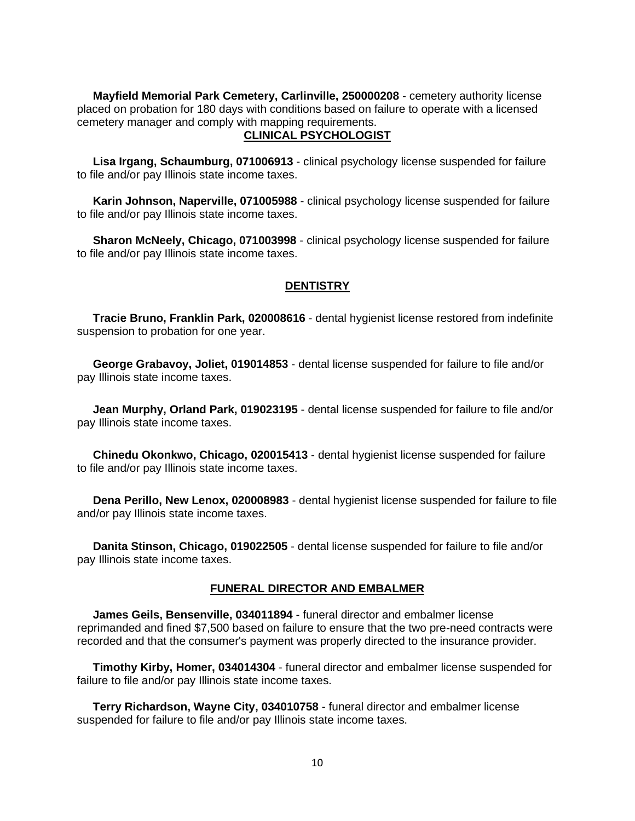**Mayfield Memorial Park Cemetery, Carlinville, 250000208** - cemetery authority license placed on probation for 180 days with conditions based on failure to operate with a licensed cemetery manager and comply with mapping requirements.

## **CLINICAL PSYCHOLOGIST**

 **Lisa Irgang, Schaumburg, 071006913** - clinical psychology license suspended for failure to file and/or pay Illinois state income taxes.

 **Karin Johnson, Naperville, 071005988** - clinical psychology license suspended for failure to file and/or pay Illinois state income taxes.

 **Sharon McNeely, Chicago, 071003998** - clinical psychology license suspended for failure to file and/or pay Illinois state income taxes.

## **DENTISTRY**

 **Tracie Bruno, Franklin Park, 020008616** - dental hygienist license restored from indefinite suspension to probation for one year.

 **George Grabavoy, Joliet, 019014853** - dental license suspended for failure to file and/or pay Illinois state income taxes.

 **Jean Murphy, Orland Park, 019023195** - dental license suspended for failure to file and/or pay Illinois state income taxes.

 **Chinedu Okonkwo, Chicago, 020015413** - dental hygienist license suspended for failure to file and/or pay Illinois state income taxes.

 **Dena Perillo, New Lenox, 020008983** - dental hygienist license suspended for failure to file and/or pay Illinois state income taxes.

 **Danita Stinson, Chicago, 019022505** - dental license suspended for failure to file and/or pay Illinois state income taxes.

### **FUNERAL DIRECTOR AND EMBALMER**

 **James Geils, Bensenville, 034011894** - funeral director and embalmer license reprimanded and fined \$7,500 based on failure to ensure that the two pre-need contracts were recorded and that the consumer's payment was properly directed to the insurance provider.

 **Timothy Kirby, Homer, 034014304** - funeral director and embalmer license suspended for failure to file and/or pay Illinois state income taxes.

 **Terry Richardson, Wayne City, 034010758** - funeral director and embalmer license suspended for failure to file and/or pay Illinois state income taxes.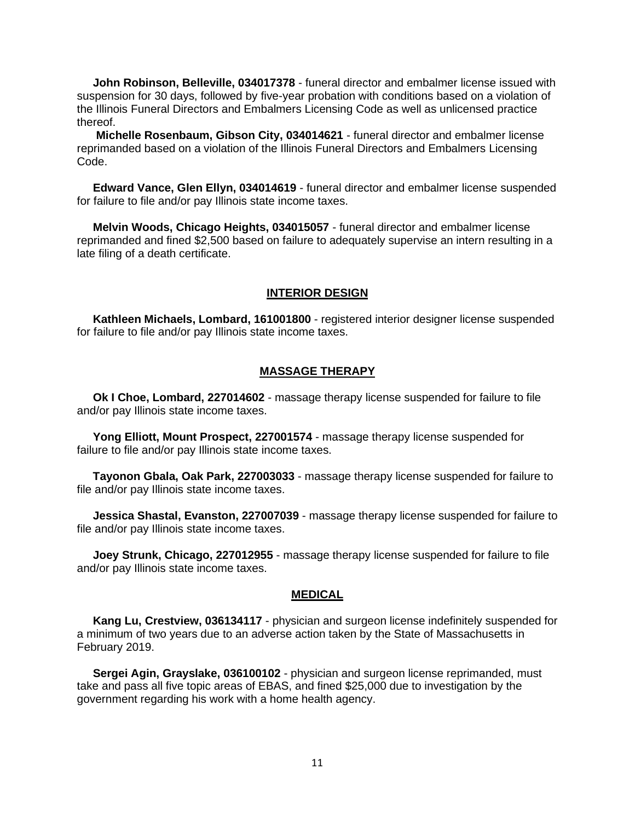**John Robinson, Belleville, 034017378** - funeral director and embalmer license issued with suspension for 30 days, followed by five-year probation with conditions based on a violation of the Illinois Funeral Directors and Embalmers Licensing Code as well as unlicensed practice thereof.

 **Michelle Rosenbaum, Gibson City, 034014621** - funeral director and embalmer license reprimanded based on a violation of the Illinois Funeral Directors and Embalmers Licensing Code.

 **Edward Vance, Glen Ellyn, 034014619** - funeral director and embalmer license suspended for failure to file and/or pay Illinois state income taxes.

 **Melvin Woods, Chicago Heights, 034015057** - funeral director and embalmer license reprimanded and fined \$2,500 based on failure to adequately supervise an intern resulting in a late filing of a death certificate.

### **INTERIOR DESIGN**

 **Kathleen Michaels, Lombard, 161001800** - registered interior designer license suspended for failure to file and/or pay Illinois state income taxes.

# **MASSAGE THERAPY**

 **Ok I Choe, Lombard, 227014602** - massage therapy license suspended for failure to file and/or pay Illinois state income taxes.

 **Yong Elliott, Mount Prospect, 227001574** - massage therapy license suspended for failure to file and/or pay Illinois state income taxes.

 **Tayonon Gbala, Oak Park, 227003033** - massage therapy license suspended for failure to file and/or pay Illinois state income taxes.

 **Jessica Shastal, Evanston, 227007039** - massage therapy license suspended for failure to file and/or pay Illinois state income taxes.

 **Joey Strunk, Chicago, 227012955** - massage therapy license suspended for failure to file and/or pay Illinois state income taxes.

## **MEDICAL**

 **Kang Lu, Crestview, 036134117** - physician and surgeon license indefinitely suspended for a minimum of two years due to an adverse action taken by the State of Massachusetts in February 2019.

 **Sergei Agin, Grayslake, 036100102** - physician and surgeon license reprimanded, must take and pass all five topic areas of EBAS, and fined \$25,000 due to investigation by the government regarding his work with a home health agency.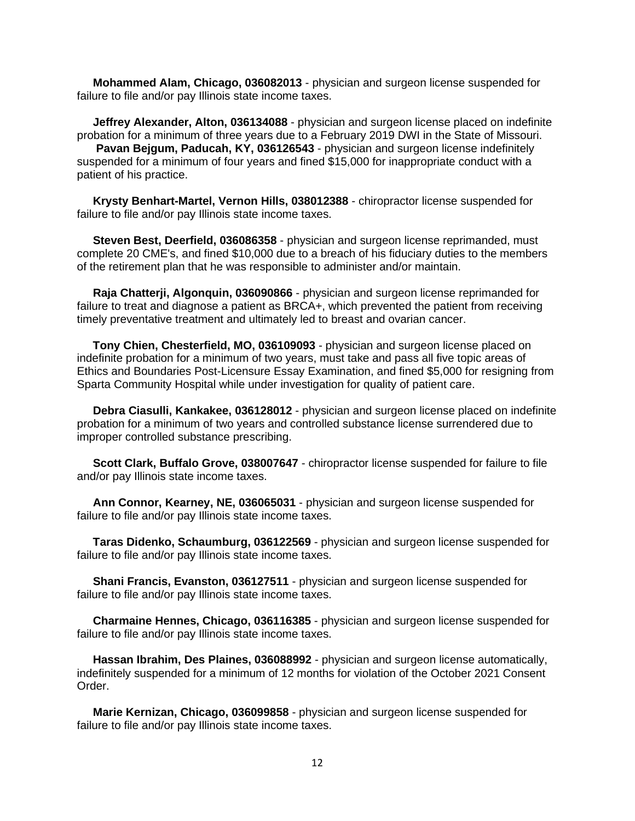**Mohammed Alam, Chicago, 036082013** - physician and surgeon license suspended for failure to file and/or pay Illinois state income taxes.

 **Jeffrey Alexander, Alton, 036134088** - physician and surgeon license placed on indefinite probation for a minimum of three years due to a February 2019 DWI in the State of Missouri.  **Pavan Bejgum, Paducah, KY, 036126543** - physician and surgeon license indefinitely suspended for a minimum of four years and fined \$15,000 for inappropriate conduct with a patient of his practice.

 **Krysty Benhart-Martel, Vernon Hills, 038012388** - chiropractor license suspended for failure to file and/or pay Illinois state income taxes.

 **Steven Best, Deerfield, 036086358** - physician and surgeon license reprimanded, must complete 20 CME's, and fined \$10,000 due to a breach of his fiduciary duties to the members of the retirement plan that he was responsible to administer and/or maintain.

 **Raja Chatterji, Algonquin, 036090866** - physician and surgeon license reprimanded for failure to treat and diagnose a patient as BRCA+, which prevented the patient from receiving timely preventative treatment and ultimately led to breast and ovarian cancer.

 **Tony Chien, Chesterfield, MO, 036109093** - physician and surgeon license placed on indefinite probation for a minimum of two years, must take and pass all five topic areas of Ethics and Boundaries Post-Licensure Essay Examination, and fined \$5,000 for resigning from Sparta Community Hospital while under investigation for quality of patient care.

 **Debra Ciasulli, Kankakee, 036128012** - physician and surgeon license placed on indefinite probation for a minimum of two years and controlled substance license surrendered due to improper controlled substance prescribing.

 **Scott Clark, Buffalo Grove, 038007647** - chiropractor license suspended for failure to file and/or pay Illinois state income taxes.

 **Ann Connor, Kearney, NE, 036065031** - physician and surgeon license suspended for failure to file and/or pay Illinois state income taxes.

 **Taras Didenko, Schaumburg, 036122569** - physician and surgeon license suspended for failure to file and/or pay Illinois state income taxes.

 **Shani Francis, Evanston, 036127511** - physician and surgeon license suspended for failure to file and/or pay Illinois state income taxes.

 **Charmaine Hennes, Chicago, 036116385** - physician and surgeon license suspended for failure to file and/or pay Illinois state income taxes.

 **Hassan Ibrahim, Des Plaines, 036088992** - physician and surgeon license automatically, indefinitely suspended for a minimum of 12 months for violation of the October 2021 Consent Order.

 **Marie Kernizan, Chicago, 036099858** - physician and surgeon license suspended for failure to file and/or pay Illinois state income taxes.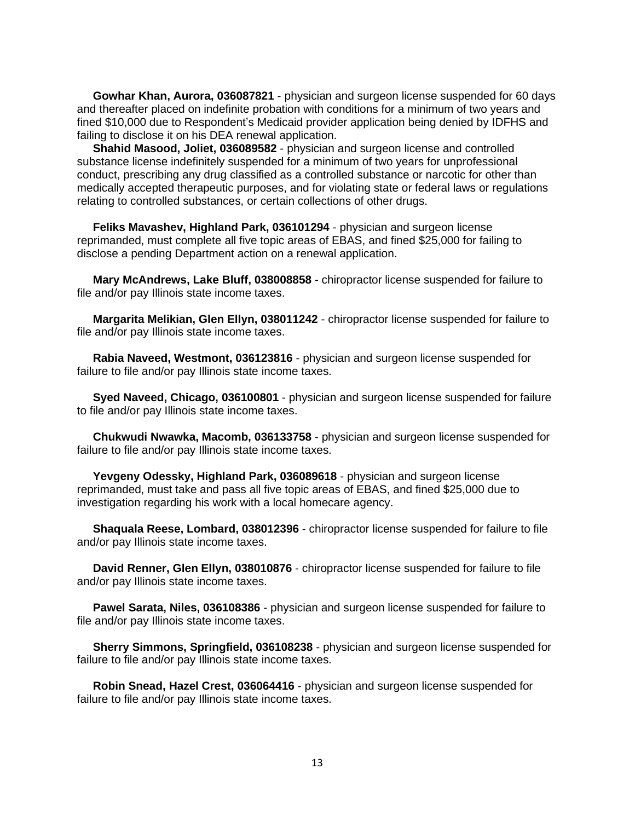**Gowhar Khan, Aurora, 036087821** - physician and surgeon license suspended for 60 days and thereafter placed on indefinite probation with conditions for a minimum of two years and fined \$10,000 due to Respondent's Medicaid provider application being denied by IDFHS and failing to disclose it on his DEA renewal application.

 **Shahid Masood, Joliet, 036089582** - physician and surgeon license and controlled substance license indefinitely suspended for a minimum of two years for unprofessional conduct, prescribing any drug classified as a controlled substance or narcotic for other than medically accepted therapeutic purposes, and for violating state or federal laws or regulations relating to controlled substances, or certain collections of other drugs.

 **Feliks Mavashev, Highland Park, 036101294** - physician and surgeon license reprimanded, must complete all five topic areas of EBAS, and fined \$25,000 for failing to disclose a pending Department action on a renewal application.

 **Mary McAndrews, Lake Bluff, 038008858** - chiropractor license suspended for failure to file and/or pay Illinois state income taxes.

 **Margarita Melikian, Glen Ellyn, 038011242** - chiropractor license suspended for failure to file and/or pay Illinois state income taxes.

 **Rabia Naveed, Westmont, 036123816** - physician and surgeon license suspended for failure to file and/or pay Illinois state income taxes.

 **Syed Naveed, Chicago, 036100801** - physician and surgeon license suspended for failure to file and/or pay Illinois state income taxes.

 **Chukwudi Nwawka, Macomb, 036133758** - physician and surgeon license suspended for failure to file and/or pay Illinois state income taxes.

 **Yevgeny Odessky, Highland Park, 036089618** - physician and surgeon license reprimanded, must take and pass all five topic areas of EBAS, and fined \$25,000 due to investigation regarding his work with a local homecare agency.

 **Shaquala Reese, Lombard, 038012396** - chiropractor license suspended for failure to file and/or pay Illinois state income taxes.

 **David Renner, Glen Ellyn, 038010876** - chiropractor license suspended for failure to file and/or pay Illinois state income taxes.

 **Pawel Sarata, Niles, 036108386** - physician and surgeon license suspended for failure to file and/or pay Illinois state income taxes.

 **Sherry Simmons, Springfield, 036108238** - physician and surgeon license suspended for failure to file and/or pay Illinois state income taxes.

 **Robin Snead, Hazel Crest, 036064416** - physician and surgeon license suspended for failure to file and/or pay Illinois state income taxes.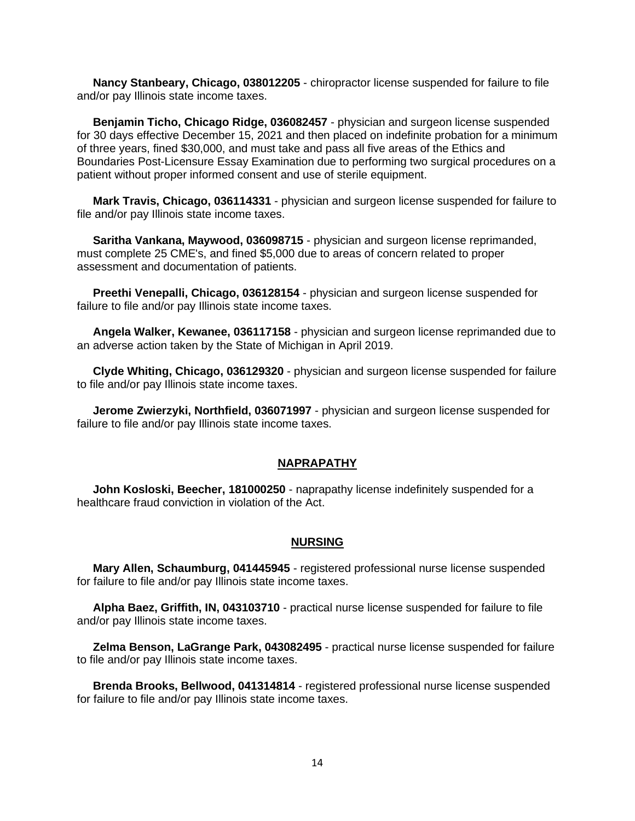**Nancy Stanbeary, Chicago, 038012205** - chiropractor license suspended for failure to file and/or pay Illinois state income taxes.

 **Benjamin Ticho, Chicago Ridge, 036082457** - physician and surgeon license suspended for 30 days effective December 15, 2021 and then placed on indefinite probation for a minimum of three years, fined \$30,000, and must take and pass all five areas of the Ethics and Boundaries Post-Licensure Essay Examination due to performing two surgical procedures on a patient without proper informed consent and use of sterile equipment.

 **Mark Travis, Chicago, 036114331** - physician and surgeon license suspended for failure to file and/or pay Illinois state income taxes.

 **Saritha Vankana, Maywood, 036098715** - physician and surgeon license reprimanded, must complete 25 CME's, and fined \$5,000 due to areas of concern related to proper assessment and documentation of patients.

 **Preethi Venepalli, Chicago, 036128154** - physician and surgeon license suspended for failure to file and/or pay Illinois state income taxes.

 **Angela Walker, Kewanee, 036117158** - physician and surgeon license reprimanded due to an adverse action taken by the State of Michigan in April 2019.

 **Clyde Whiting, Chicago, 036129320** - physician and surgeon license suspended for failure to file and/or pay Illinois state income taxes.

 **Jerome Zwierzyki, Northfield, 036071997** - physician and surgeon license suspended for failure to file and/or pay Illinois state income taxes.

### **NAPRAPATHY**

 **John Kosloski, Beecher, 181000250** - naprapathy license indefinitely suspended for a healthcare fraud conviction in violation of the Act.

### **NURSING**

 **Mary Allen, Schaumburg, 041445945** - registered professional nurse license suspended for failure to file and/or pay Illinois state income taxes.

 **Alpha Baez, Griffith, IN, 043103710** - practical nurse license suspended for failure to file and/or pay Illinois state income taxes.

 **Zelma Benson, LaGrange Park, 043082495** - practical nurse license suspended for failure to file and/or pay Illinois state income taxes.

 **Brenda Brooks, Bellwood, 041314814** - registered professional nurse license suspended for failure to file and/or pay Illinois state income taxes.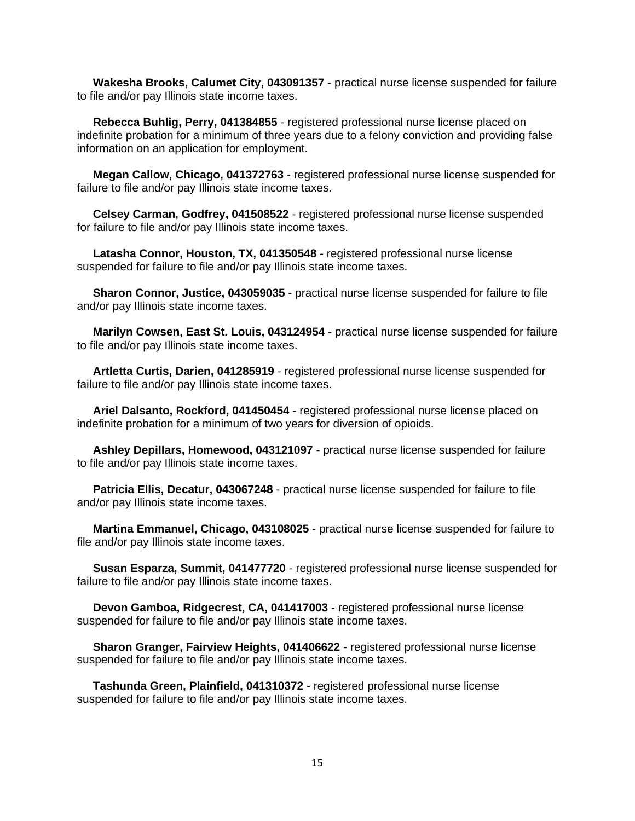**Wakesha Brooks, Calumet City, 043091357** - practical nurse license suspended for failure to file and/or pay Illinois state income taxes.

 **Rebecca Buhlig, Perry, 041384855** - registered professional nurse license placed on indefinite probation for a minimum of three years due to a felony conviction and providing false information on an application for employment.

 **Megan Callow, Chicago, 041372763** - registered professional nurse license suspended for failure to file and/or pay Illinois state income taxes.

 **Celsey Carman, Godfrey, 041508522** - registered professional nurse license suspended for failure to file and/or pay Illinois state income taxes.

 **Latasha Connor, Houston, TX, 041350548** - registered professional nurse license suspended for failure to file and/or pay Illinois state income taxes.

 **Sharon Connor, Justice, 043059035** - practical nurse license suspended for failure to file and/or pay Illinois state income taxes.

 **Marilyn Cowsen, East St. Louis, 043124954** - practical nurse license suspended for failure to file and/or pay Illinois state income taxes.

 **Artletta Curtis, Darien, 041285919** - registered professional nurse license suspended for failure to file and/or pay Illinois state income taxes.

 **Ariel Dalsanto, Rockford, 041450454** - registered professional nurse license placed on indefinite probation for a minimum of two years for diversion of opioids.

 **Ashley Depillars, Homewood, 043121097** - practical nurse license suspended for failure to file and/or pay Illinois state income taxes.

 **Patricia Ellis, Decatur, 043067248** - practical nurse license suspended for failure to file and/or pay Illinois state income taxes.

 **Martina Emmanuel, Chicago, 043108025** - practical nurse license suspended for failure to file and/or pay Illinois state income taxes.

 **Susan Esparza, Summit, 041477720** - registered professional nurse license suspended for failure to file and/or pay Illinois state income taxes.

 **Devon Gamboa, Ridgecrest, CA, 041417003** - registered professional nurse license suspended for failure to file and/or pay Illinois state income taxes.

 **Sharon Granger, Fairview Heights, 041406622** - registered professional nurse license suspended for failure to file and/or pay Illinois state income taxes.

 **Tashunda Green, Plainfield, 041310372** - registered professional nurse license suspended for failure to file and/or pay Illinois state income taxes.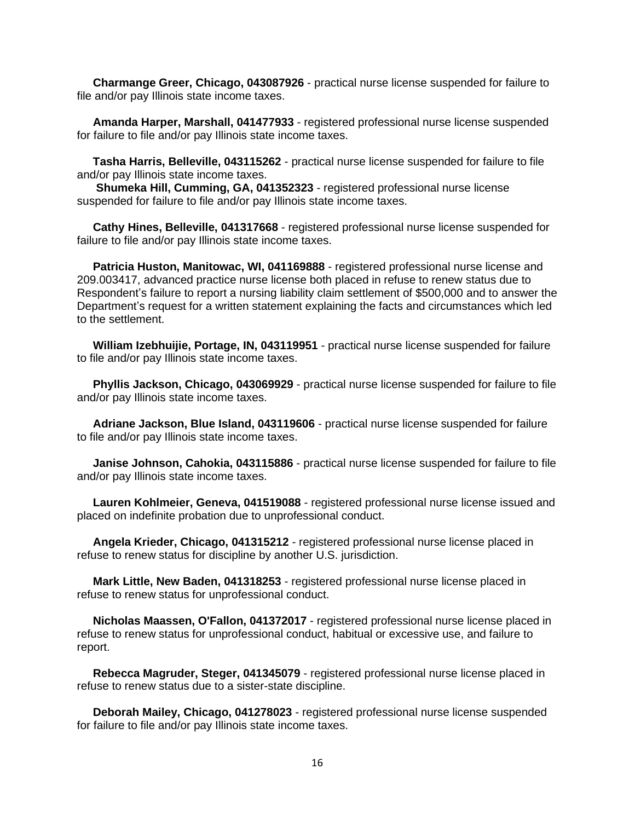**Charmange Greer, Chicago, 043087926** - practical nurse license suspended for failure to file and/or pay Illinois state income taxes.

 **Amanda Harper, Marshall, 041477933** - registered professional nurse license suspended for failure to file and/or pay Illinois state income taxes.

 **Tasha Harris, Belleville, 043115262** - practical nurse license suspended for failure to file and/or pay Illinois state income taxes.

 **Shumeka Hill, Cumming, GA, 041352323** - registered professional nurse license suspended for failure to file and/or pay Illinois state income taxes.

 **Cathy Hines, Belleville, 041317668** - registered professional nurse license suspended for failure to file and/or pay Illinois state income taxes.

 **Patricia Huston, Manitowac, WI, 041169888** - registered professional nurse license and 209.003417, advanced practice nurse license both placed in refuse to renew status due to Respondent's failure to report a nursing liability claim settlement of \$500,000 and to answer the Department's request for a written statement explaining the facts and circumstances which led to the settlement.

 **William Izebhuijie, Portage, IN, 043119951** - practical nurse license suspended for failure to file and/or pay Illinois state income taxes.

 **Phyllis Jackson, Chicago, 043069929** - practical nurse license suspended for failure to file and/or pay Illinois state income taxes.

 **Adriane Jackson, Blue Island, 043119606** - practical nurse license suspended for failure to file and/or pay Illinois state income taxes.

 **Janise Johnson, Cahokia, 043115886** - practical nurse license suspended for failure to file and/or pay Illinois state income taxes.

 **Lauren Kohlmeier, Geneva, 041519088** - registered professional nurse license issued and placed on indefinite probation due to unprofessional conduct.

 **Angela Krieder, Chicago, 041315212** - registered professional nurse license placed in refuse to renew status for discipline by another U.S. jurisdiction.

 **Mark Little, New Baden, 041318253** - registered professional nurse license placed in refuse to renew status for unprofessional conduct.

 **Nicholas Maassen, O'Fallon, 041372017** - registered professional nurse license placed in refuse to renew status for unprofessional conduct, habitual or excessive use, and failure to report.

 **Rebecca Magruder, Steger, 041345079** - registered professional nurse license placed in refuse to renew status due to a sister-state discipline.

 **Deborah Mailey, Chicago, 041278023** - registered professional nurse license suspended for failure to file and/or pay Illinois state income taxes.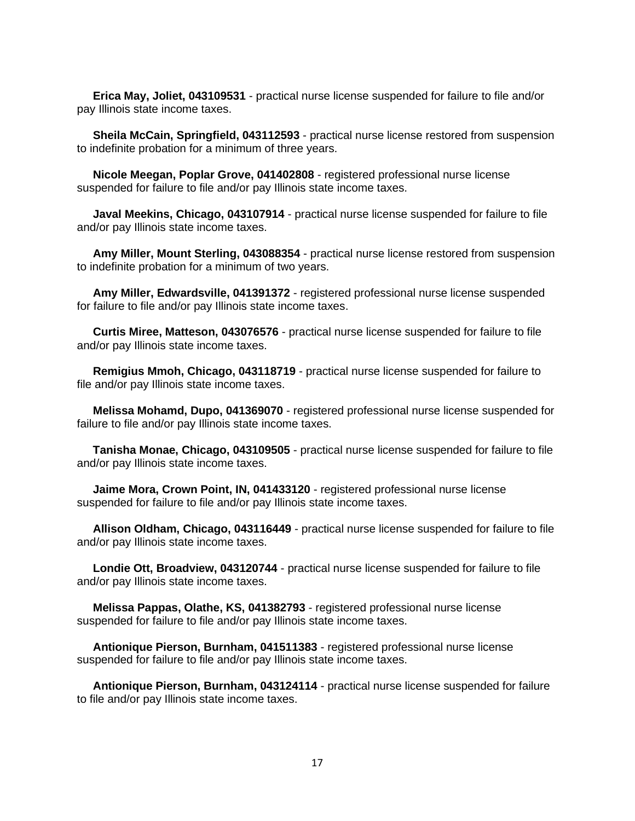**Erica May, Joliet, 043109531** - practical nurse license suspended for failure to file and/or pay Illinois state income taxes.

 **Sheila McCain, Springfield, 043112593** - practical nurse license restored from suspension to indefinite probation for a minimum of three years.

 **Nicole Meegan, Poplar Grove, 041402808** - registered professional nurse license suspended for failure to file and/or pay Illinois state income taxes.

 **Javal Meekins, Chicago, 043107914** - practical nurse license suspended for failure to file and/or pay Illinois state income taxes.

 **Amy Miller, Mount Sterling, 043088354** - practical nurse license restored from suspension to indefinite probation for a minimum of two years.

 **Amy Miller, Edwardsville, 041391372** - registered professional nurse license suspended for failure to file and/or pay Illinois state income taxes.

 **Curtis Miree, Matteson, 043076576** - practical nurse license suspended for failure to file and/or pay Illinois state income taxes.

 **Remigius Mmoh, Chicago, 043118719** - practical nurse license suspended for failure to file and/or pay Illinois state income taxes.

 **Melissa Mohamd, Dupo, 041369070** - registered professional nurse license suspended for failure to file and/or pay Illinois state income taxes.

 **Tanisha Monae, Chicago, 043109505** - practical nurse license suspended for failure to file and/or pay Illinois state income taxes.

 **Jaime Mora, Crown Point, IN, 041433120** - registered professional nurse license suspended for failure to file and/or pay Illinois state income taxes.

 **Allison Oldham, Chicago, 043116449** - practical nurse license suspended for failure to file and/or pay Illinois state income taxes.

 **Londie Ott, Broadview, 043120744** - practical nurse license suspended for failure to file and/or pay Illinois state income taxes.

 **Melissa Pappas, Olathe, KS, 041382793** - registered professional nurse license suspended for failure to file and/or pay Illinois state income taxes.

 **Antionique Pierson, Burnham, 041511383** - registered professional nurse license suspended for failure to file and/or pay Illinois state income taxes.

 **Antionique Pierson, Burnham, 043124114** - practical nurse license suspended for failure to file and/or pay Illinois state income taxes.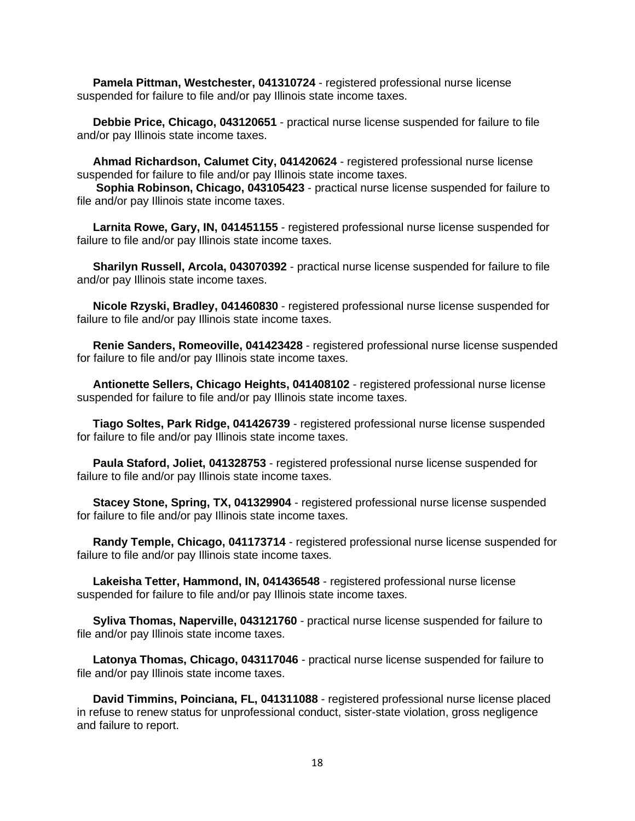**Pamela Pittman, Westchester, 041310724** - registered professional nurse license suspended for failure to file and/or pay Illinois state income taxes.

 **Debbie Price, Chicago, 043120651** - practical nurse license suspended for failure to file and/or pay Illinois state income taxes.

 **Ahmad Richardson, Calumet City, 041420624** - registered professional nurse license suspended for failure to file and/or pay Illinois state income taxes.

 **Sophia Robinson, Chicago, 043105423** - practical nurse license suspended for failure to file and/or pay Illinois state income taxes.

 **Larnita Rowe, Gary, IN, 041451155** - registered professional nurse license suspended for failure to file and/or pay Illinois state income taxes.

 **Sharilyn Russell, Arcola, 043070392** - practical nurse license suspended for failure to file and/or pay Illinois state income taxes.

 **Nicole Rzyski, Bradley, 041460830** - registered professional nurse license suspended for failure to file and/or pay Illinois state income taxes.

 **Renie Sanders, Romeoville, 041423428** - registered professional nurse license suspended for failure to file and/or pay Illinois state income taxes.

 **Antionette Sellers, Chicago Heights, 041408102** - registered professional nurse license suspended for failure to file and/or pay Illinois state income taxes.

 **Tiago Soltes, Park Ridge, 041426739** - registered professional nurse license suspended for failure to file and/or pay Illinois state income taxes.

 **Paula Staford, Joliet, 041328753** - registered professional nurse license suspended for failure to file and/or pay Illinois state income taxes.

 **Stacey Stone, Spring, TX, 041329904** - registered professional nurse license suspended for failure to file and/or pay Illinois state income taxes.

 **Randy Temple, Chicago, 041173714** - registered professional nurse license suspended for failure to file and/or pay Illinois state income taxes.

 **Lakeisha Tetter, Hammond, IN, 041436548** - registered professional nurse license suspended for failure to file and/or pay Illinois state income taxes.

 **Syliva Thomas, Naperville, 043121760** - practical nurse license suspended for failure to file and/or pay Illinois state income taxes.

 **Latonya Thomas, Chicago, 043117046** - practical nurse license suspended for failure to file and/or pay Illinois state income taxes.

 **David Timmins, Poinciana, FL, 041311088** - registered professional nurse license placed in refuse to renew status for unprofessional conduct, sister-state violation, gross negligence and failure to report.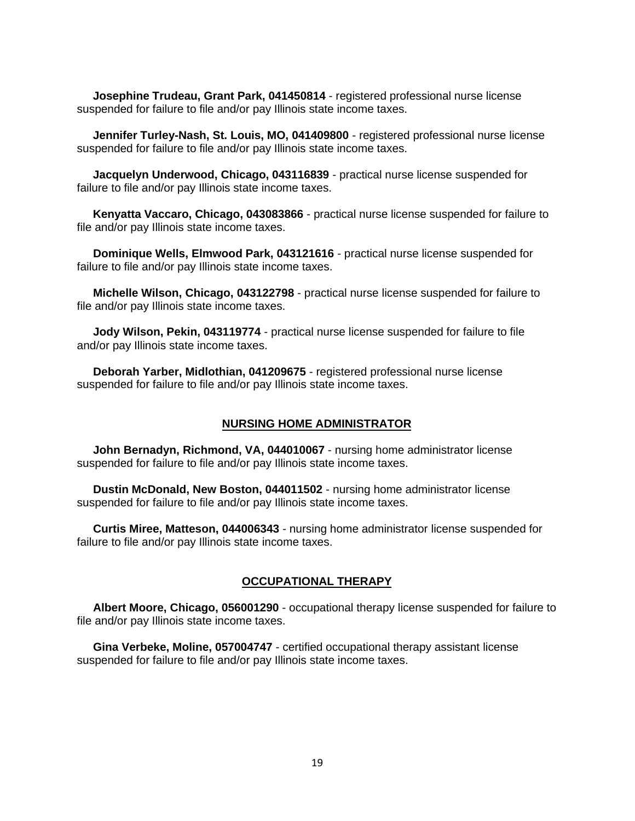**Josephine Trudeau, Grant Park, 041450814** - registered professional nurse license suspended for failure to file and/or pay Illinois state income taxes.

**Jennifer Turley-Nash, St. Louis, MO, 041409800** - registered professional nurse license suspended for failure to file and/or pay Illinois state income taxes.

**Jacquelyn Underwood, Chicago, 043116839** - practical nurse license suspended for failure to file and/or pay Illinois state income taxes.

**Kenyatta Vaccaro, Chicago, 043083866** - practical nurse license suspended for failure to file and/or pay Illinois state income taxes.

 **Dominique Wells, Elmwood Park, 043121616** - practical nurse license suspended for failure to file and/or pay Illinois state income taxes.

 **Michelle Wilson, Chicago, 043122798** - practical nurse license suspended for failure to file and/or pay Illinois state income taxes.

 **Jody Wilson, Pekin, 043119774** - practical nurse license suspended for failure to file and/or pay Illinois state income taxes.

 **Deborah Yarber, Midlothian, 041209675** - registered professional nurse license suspended for failure to file and/or pay Illinois state income taxes.

# **NURSING HOME ADMINISTRATOR**

 **John Bernadyn, Richmond, VA, 044010067** - nursing home administrator license suspended for failure to file and/or pay Illinois state income taxes.

 **Dustin McDonald, New Boston, 044011502** - nursing home administrator license suspended for failure to file and/or pay Illinois state income taxes.

 **Curtis Miree, Matteson, 044006343** - nursing home administrator license suspended for failure to file and/or pay Illinois state income taxes.

# **OCCUPATIONAL THERAPY**

 **Albert Moore, Chicago, 056001290** - occupational therapy license suspended for failure to file and/or pay Illinois state income taxes.

 **Gina Verbeke, Moline, 057004747** - certified occupational therapy assistant license suspended for failure to file and/or pay Illinois state income taxes.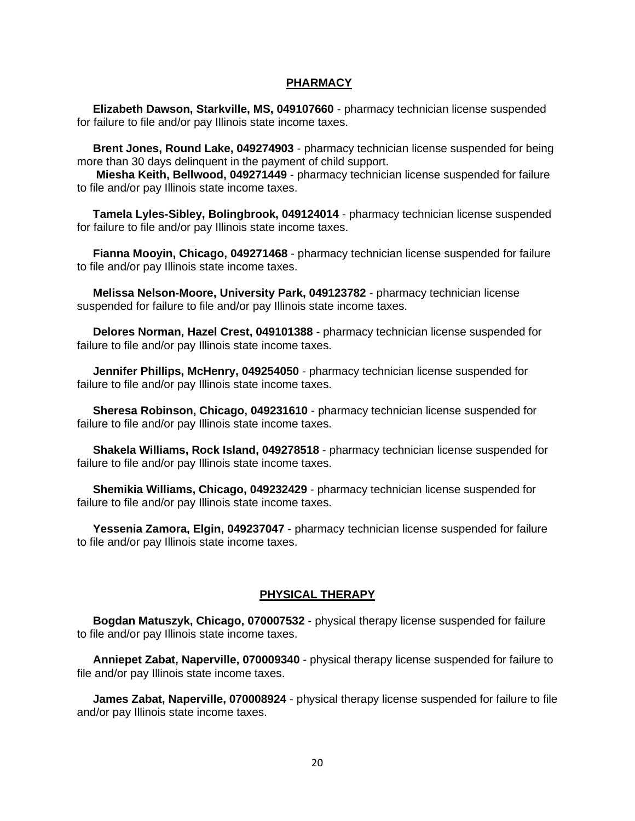#### **PHARMACY**

 **Elizabeth Dawson, Starkville, MS, 049107660** - pharmacy technician license suspended for failure to file and/or pay Illinois state income taxes.

 **Brent Jones, Round Lake, 049274903** - pharmacy technician license suspended for being more than 30 days delinquent in the payment of child support.

 **Miesha Keith, Bellwood, 049271449** - pharmacy technician license suspended for failure to file and/or pay Illinois state income taxes.

 **Tamela Lyles-Sibley, Bolingbrook, 049124014** - pharmacy technician license suspended for failure to file and/or pay Illinois state income taxes.

 **Fianna Mooyin, Chicago, 049271468** - pharmacy technician license suspended for failure to file and/or pay Illinois state income taxes.

 **Melissa Nelson-Moore, University Park, 049123782** - pharmacy technician license suspended for failure to file and/or pay Illinois state income taxes.

 **Delores Norman, Hazel Crest, 049101388** - pharmacy technician license suspended for failure to file and/or pay Illinois state income taxes.

 **Jennifer Phillips, McHenry, 049254050** - pharmacy technician license suspended for failure to file and/or pay Illinois state income taxes.

 **Sheresa Robinson, Chicago, 049231610** - pharmacy technician license suspended for failure to file and/or pay Illinois state income taxes.

 **Shakela Williams, Rock Island, 049278518** - pharmacy technician license suspended for failure to file and/or pay Illinois state income taxes.

 **Shemikia Williams, Chicago, 049232429** - pharmacy technician license suspended for failure to file and/or pay Illinois state income taxes.

 **Yessenia Zamora, Elgin, 049237047** - pharmacy technician license suspended for failure to file and/or pay Illinois state income taxes.

## **PHYSICAL THERAPY**

 **Bogdan Matuszyk, Chicago, 070007532** - physical therapy license suspended for failure to file and/or pay Illinois state income taxes.

 **Anniepet Zabat, Naperville, 070009340** - physical therapy license suspended for failure to file and/or pay Illinois state income taxes.

 **James Zabat, Naperville, 070008924** - physical therapy license suspended for failure to file and/or pay Illinois state income taxes.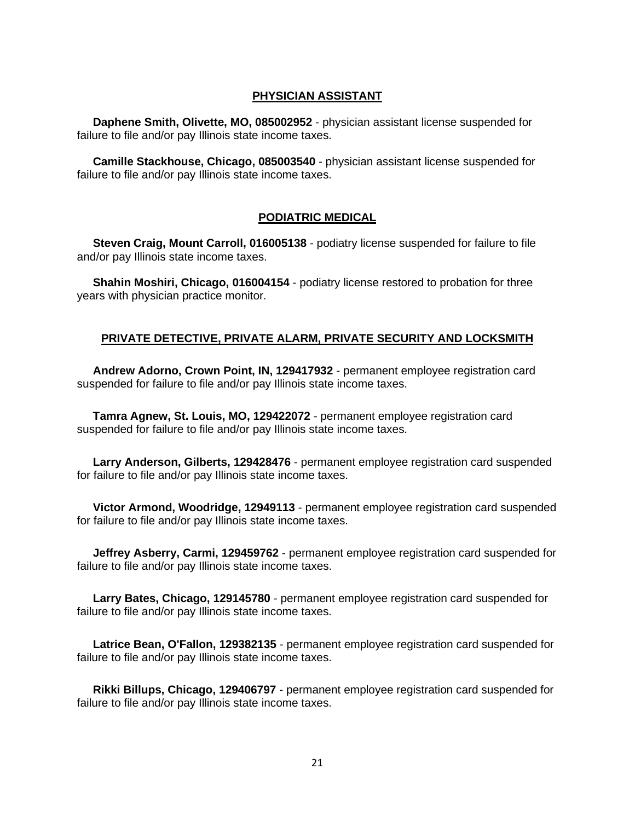# **PHYSICIAN ASSISTANT**

 **Daphene Smith, Olivette, MO, 085002952** - physician assistant license suspended for failure to file and/or pay Illinois state income taxes.

 **Camille Stackhouse, Chicago, 085003540** - physician assistant license suspended for failure to file and/or pay Illinois state income taxes.

### **PODIATRIC MEDICAL**

 **Steven Craig, Mount Carroll, 016005138** - podiatry license suspended for failure to file and/or pay Illinois state income taxes.

 **Shahin Moshiri, Chicago, 016004154** - podiatry license restored to probation for three years with physician practice monitor.

## **PRIVATE DETECTIVE, PRIVATE ALARM, PRIVATE SECURITY AND LOCKSMITH**

 **Andrew Adorno, Crown Point, IN, 129417932** - permanent employee registration card suspended for failure to file and/or pay Illinois state income taxes.

 **Tamra Agnew, St. Louis, MO, 129422072** - permanent employee registration card suspended for failure to file and/or pay Illinois state income taxes.

 **Larry Anderson, Gilberts, 129428476** - permanent employee registration card suspended for failure to file and/or pay Illinois state income taxes.

 **Victor Armond, Woodridge, 12949113** - permanent employee registration card suspended for failure to file and/or pay Illinois state income taxes.

 **Jeffrey Asberry, Carmi, 129459762** - permanent employee registration card suspended for failure to file and/or pay Illinois state income taxes.

 **Larry Bates, Chicago, 129145780** - permanent employee registration card suspended for failure to file and/or pay Illinois state income taxes.

 **Latrice Bean, O'Fallon, 129382135** - permanent employee registration card suspended for failure to file and/or pay Illinois state income taxes.

 **Rikki Billups, Chicago, 129406797** - permanent employee registration card suspended for failure to file and/or pay Illinois state income taxes.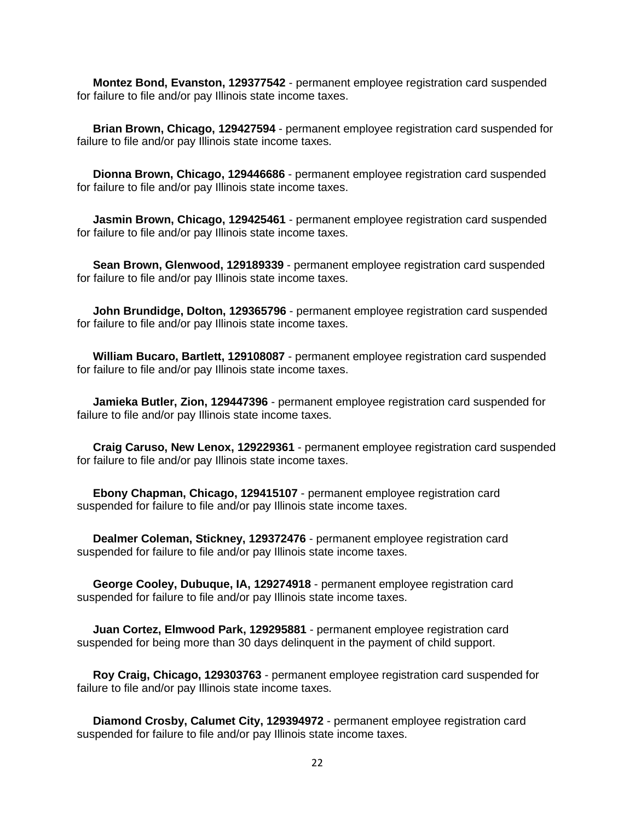**Montez Bond, Evanston, 129377542** - permanent employee registration card suspended for failure to file and/or pay Illinois state income taxes.

 **Brian Brown, Chicago, 129427594** - permanent employee registration card suspended for failure to file and/or pay Illinois state income taxes.

 **Dionna Brown, Chicago, 129446686** - permanent employee registration card suspended for failure to file and/or pay Illinois state income taxes.

 **Jasmin Brown, Chicago, 129425461** - permanent employee registration card suspended for failure to file and/or pay Illinois state income taxes.

 **Sean Brown, Glenwood, 129189339** - permanent employee registration card suspended for failure to file and/or pay Illinois state income taxes.

 **John Brundidge, Dolton, 129365796** - permanent employee registration card suspended for failure to file and/or pay Illinois state income taxes.

 **William Bucaro, Bartlett, 129108087** - permanent employee registration card suspended for failure to file and/or pay Illinois state income taxes.

 **Jamieka Butler, Zion, 129447396** - permanent employee registration card suspended for failure to file and/or pay Illinois state income taxes.

 **Craig Caruso, New Lenox, 129229361** - permanent employee registration card suspended for failure to file and/or pay Illinois state income taxes.

 **Ebony Chapman, Chicago, 129415107** - permanent employee registration card suspended for failure to file and/or pay Illinois state income taxes.

 **Dealmer Coleman, Stickney, 129372476** - permanent employee registration card suspended for failure to file and/or pay Illinois state income taxes.

 **George Cooley, Dubuque, IA, 129274918** - permanent employee registration card suspended for failure to file and/or pay Illinois state income taxes.

 **Juan Cortez, Elmwood Park, 129295881** - permanent employee registration card suspended for being more than 30 days delinquent in the payment of child support.

 **Roy Craig, Chicago, 129303763** - permanent employee registration card suspended for failure to file and/or pay Illinois state income taxes.

 **Diamond Crosby, Calumet City, 129394972** - permanent employee registration card suspended for failure to file and/or pay Illinois state income taxes.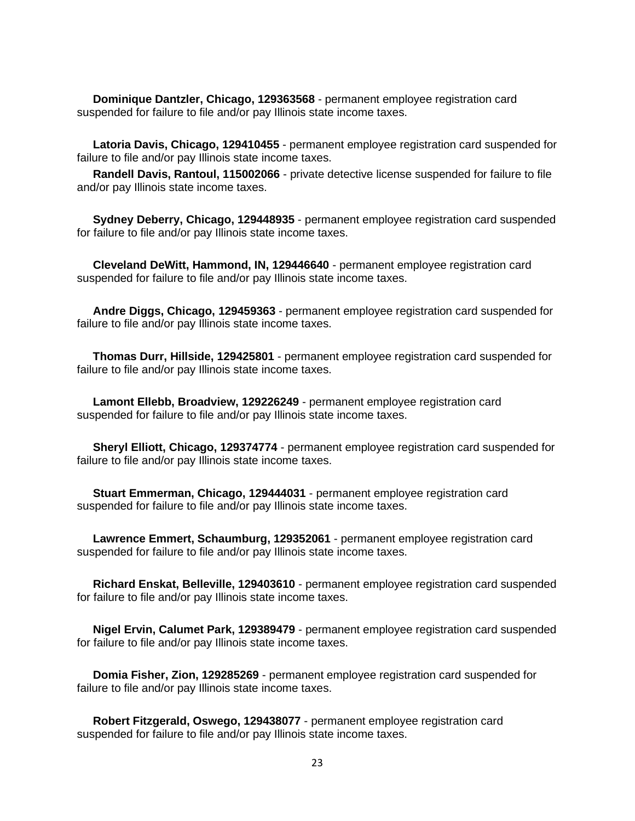**Dominique Dantzler, Chicago, 129363568** - permanent employee registration card suspended for failure to file and/or pay Illinois state income taxes.

 **Latoria Davis, Chicago, 129410455** - permanent employee registration card suspended for failure to file and/or pay Illinois state income taxes.

 **Randell Davis, Rantoul, 115002066** - private detective license suspended for failure to file and/or pay Illinois state income taxes.

 **Sydney Deberry, Chicago, 129448935** - permanent employee registration card suspended for failure to file and/or pay Illinois state income taxes.

 **Cleveland DeWitt, Hammond, IN, 129446640** - permanent employee registration card suspended for failure to file and/or pay Illinois state income taxes.

 **Andre Diggs, Chicago, 129459363** - permanent employee registration card suspended for failure to file and/or pay Illinois state income taxes.

 **Thomas Durr, Hillside, 129425801** - permanent employee registration card suspended for failure to file and/or pay Illinois state income taxes.

 **Lamont Ellebb, Broadview, 129226249** - permanent employee registration card suspended for failure to file and/or pay Illinois state income taxes.

 **Sheryl Elliott, Chicago, 129374774** - permanent employee registration card suspended for failure to file and/or pay Illinois state income taxes.

 **Stuart Emmerman, Chicago, 129444031** - permanent employee registration card suspended for failure to file and/or pay Illinois state income taxes.

 **Lawrence Emmert, Schaumburg, 129352061** - permanent employee registration card suspended for failure to file and/or pay Illinois state income taxes.

 **Richard Enskat, Belleville, 129403610** - permanent employee registration card suspended for failure to file and/or pay Illinois state income taxes.

 **Nigel Ervin, Calumet Park, 129389479** - permanent employee registration card suspended for failure to file and/or pay Illinois state income taxes.

 **Domia Fisher, Zion, 129285269** - permanent employee registration card suspended for failure to file and/or pay Illinois state income taxes.

 **Robert Fitzgerald, Oswego, 129438077** - permanent employee registration card suspended for failure to file and/or pay Illinois state income taxes.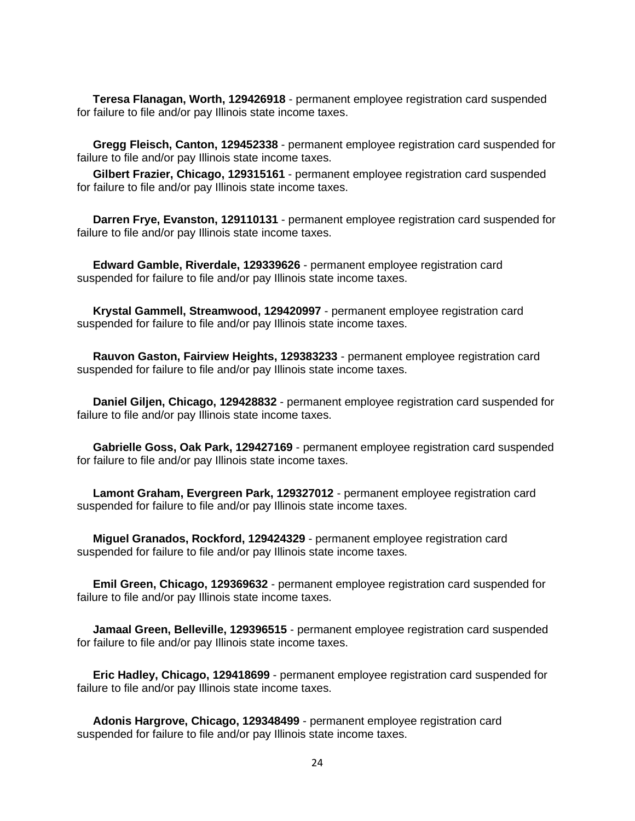**Teresa Flanagan, Worth, 129426918** - permanent employee registration card suspended for failure to file and/or pay Illinois state income taxes.

 **Gregg Fleisch, Canton, 129452338** - permanent employee registration card suspended for failure to file and/or pay Illinois state income taxes.

 **Gilbert Frazier, Chicago, 129315161** - permanent employee registration card suspended for failure to file and/or pay Illinois state income taxes.

 **Darren Frye, Evanston, 129110131** - permanent employee registration card suspended for failure to file and/or pay Illinois state income taxes.

 **Edward Gamble, Riverdale, 129339626** - permanent employee registration card suspended for failure to file and/or pay Illinois state income taxes.

 **Krystal Gammell, Streamwood, 129420997** - permanent employee registration card suspended for failure to file and/or pay Illinois state income taxes.

 **Rauvon Gaston, Fairview Heights, 129383233** - permanent employee registration card suspended for failure to file and/or pay Illinois state income taxes.

 **Daniel Giljen, Chicago, 129428832** - permanent employee registration card suspended for failure to file and/or pay Illinois state income taxes.

 **Gabrielle Goss, Oak Park, 129427169** - permanent employee registration card suspended for failure to file and/or pay Illinois state income taxes.

 **Lamont Graham, Evergreen Park, 129327012** - permanent employee registration card suspended for failure to file and/or pay Illinois state income taxes.

 **Miguel Granados, Rockford, 129424329** - permanent employee registration card suspended for failure to file and/or pay Illinois state income taxes.

 **Emil Green, Chicago, 129369632** - permanent employee registration card suspended for failure to file and/or pay Illinois state income taxes.

 **Jamaal Green, Belleville, 129396515** - permanent employee registration card suspended for failure to file and/or pay Illinois state income taxes.

 **Eric Hadley, Chicago, 129418699** - permanent employee registration card suspended for failure to file and/or pay Illinois state income taxes.

 **Adonis Hargrove, Chicago, 129348499** - permanent employee registration card suspended for failure to file and/or pay Illinois state income taxes.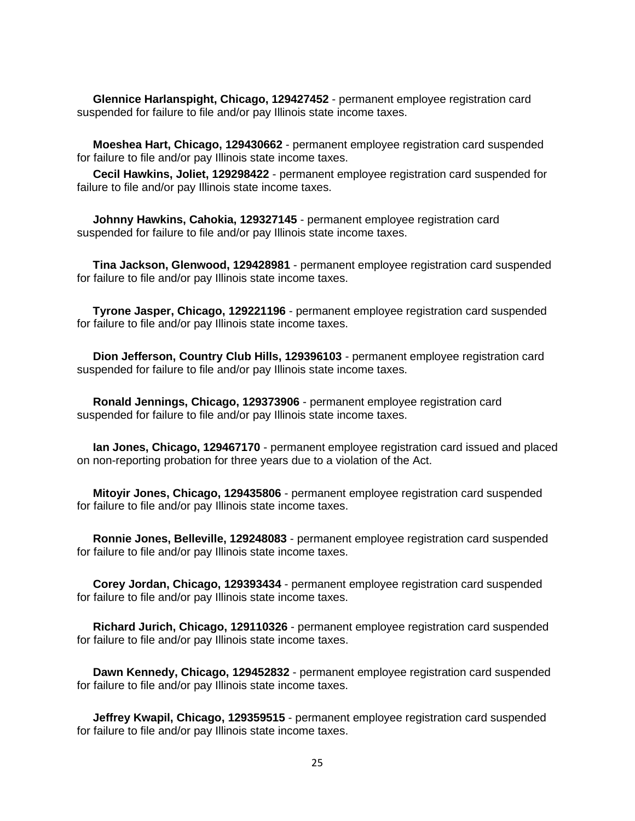**Glennice Harlanspight, Chicago, 129427452** - permanent employee registration card suspended for failure to file and/or pay Illinois state income taxes.

 **Moeshea Hart, Chicago, 129430662** - permanent employee registration card suspended for failure to file and/or pay Illinois state income taxes.

 **Cecil Hawkins, Joliet, 129298422** - permanent employee registration card suspended for failure to file and/or pay Illinois state income taxes.

 **Johnny Hawkins, Cahokia, 129327145** - permanent employee registration card suspended for failure to file and/or pay Illinois state income taxes.

 **Tina Jackson, Glenwood, 129428981** - permanent employee registration card suspended for failure to file and/or pay Illinois state income taxes.

 **Tyrone Jasper, Chicago, 129221196** - permanent employee registration card suspended for failure to file and/or pay Illinois state income taxes.

 **Dion Jefferson, Country Club Hills, 129396103** - permanent employee registration card suspended for failure to file and/or pay Illinois state income taxes.

 **Ronald Jennings, Chicago, 129373906** - permanent employee registration card suspended for failure to file and/or pay Illinois state income taxes.

 **Ian Jones, Chicago, 129467170** - permanent employee registration card issued and placed on non-reporting probation for three years due to a violation of the Act.

 **Mitoyir Jones, Chicago, 129435806** - permanent employee registration card suspended for failure to file and/or pay Illinois state income taxes.

 **Ronnie Jones, Belleville, 129248083** - permanent employee registration card suspended for failure to file and/or pay Illinois state income taxes.

 **Corey Jordan, Chicago, 129393434** - permanent employee registration card suspended for failure to file and/or pay Illinois state income taxes.

 **Richard Jurich, Chicago, 129110326** - permanent employee registration card suspended for failure to file and/or pay Illinois state income taxes.

 **Dawn Kennedy, Chicago, 129452832** - permanent employee registration card suspended for failure to file and/or pay Illinois state income taxes.

 **Jeffrey Kwapil, Chicago, 129359515** - permanent employee registration card suspended for failure to file and/or pay Illinois state income taxes.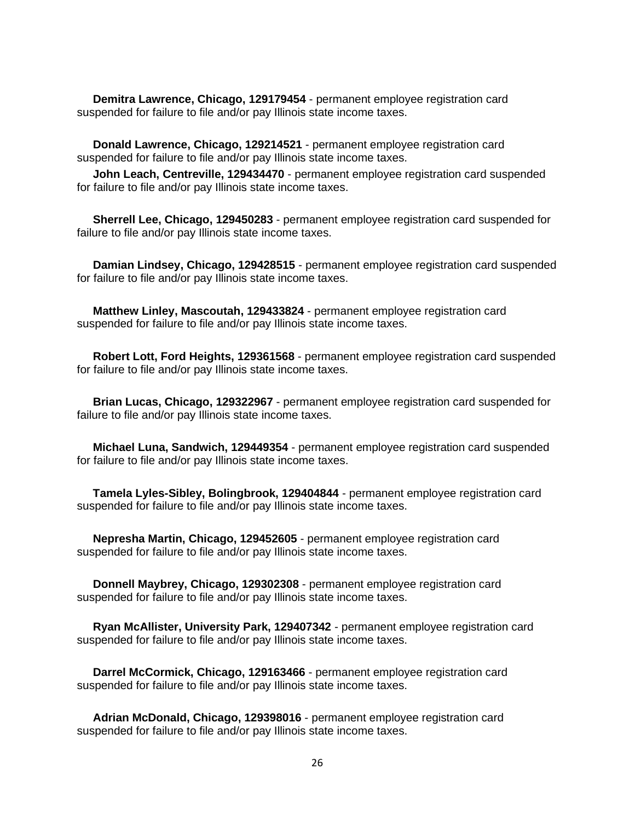**Demitra Lawrence, Chicago, 129179454** - permanent employee registration card suspended for failure to file and/or pay Illinois state income taxes.

 **Donald Lawrence, Chicago, 129214521** - permanent employee registration card suspended for failure to file and/or pay Illinois state income taxes.

 **John Leach, Centreville, 129434470** - permanent employee registration card suspended for failure to file and/or pay Illinois state income taxes.

 **Sherrell Lee, Chicago, 129450283** - permanent employee registration card suspended for failure to file and/or pay Illinois state income taxes.

 **Damian Lindsey, Chicago, 129428515** - permanent employee registration card suspended for failure to file and/or pay Illinois state income taxes.

 **Matthew Linley, Mascoutah, 129433824** - permanent employee registration card suspended for failure to file and/or pay Illinois state income taxes.

 **Robert Lott, Ford Heights, 129361568** - permanent employee registration card suspended for failure to file and/or pay Illinois state income taxes.

 **Brian Lucas, Chicago, 129322967** - permanent employee registration card suspended for failure to file and/or pay Illinois state income taxes.

 **Michael Luna, Sandwich, 129449354** - permanent employee registration card suspended for failure to file and/or pay Illinois state income taxes.

 **Tamela Lyles-Sibley, Bolingbrook, 129404844** - permanent employee registration card suspended for failure to file and/or pay Illinois state income taxes.

 **Nepresha Martin, Chicago, 129452605** - permanent employee registration card suspended for failure to file and/or pay Illinois state income taxes.

 **Donnell Maybrey, Chicago, 129302308** - permanent employee registration card suspended for failure to file and/or pay Illinois state income taxes.

 **Ryan McAllister, University Park, 129407342** - permanent employee registration card suspended for failure to file and/or pay Illinois state income taxes.

 **Darrel McCormick, Chicago, 129163466** - permanent employee registration card suspended for failure to file and/or pay Illinois state income taxes.

 **Adrian McDonald, Chicago, 129398016** - permanent employee registration card suspended for failure to file and/or pay Illinois state income taxes.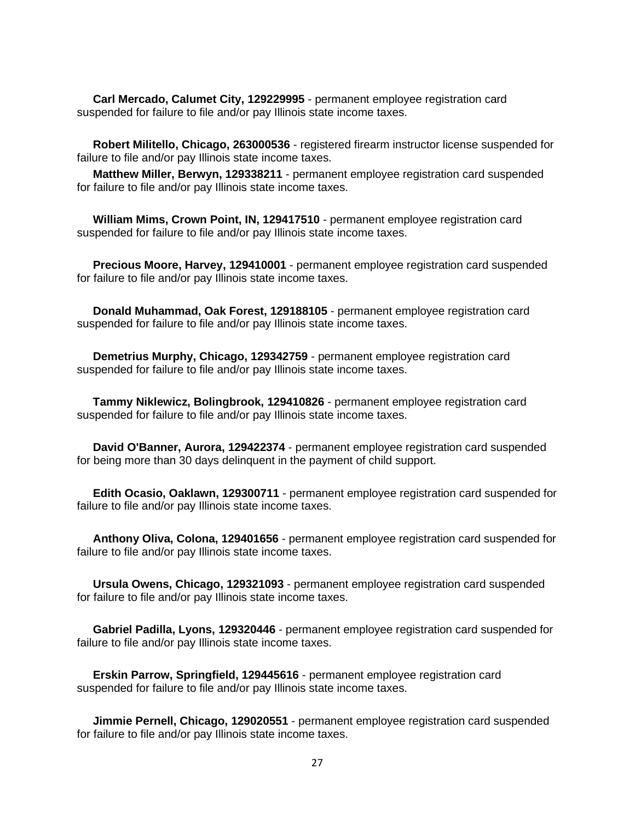**Carl Mercado, Calumet City, 129229995** - permanent employee registration card suspended for failure to file and/or pay Illinois state income taxes.

 **Robert Militello, Chicago, 263000536** - registered firearm instructor license suspended for failure to file and/or pay Illinois state income taxes.

 **Matthew Miller, Berwyn, 129338211** - permanent employee registration card suspended for failure to file and/or pay Illinois state income taxes.

 **William Mims, Crown Point, IN, 129417510** - permanent employee registration card suspended for failure to file and/or pay Illinois state income taxes.

 **Precious Moore, Harvey, 129410001** - permanent employee registration card suspended for failure to file and/or pay Illinois state income taxes.

 **Donald Muhammad, Oak Forest, 129188105** - permanent employee registration card suspended for failure to file and/or pay Illinois state income taxes.

 **Demetrius Murphy, Chicago, 129342759** - permanent employee registration card suspended for failure to file and/or pay Illinois state income taxes.

 **Tammy Niklewicz, Bolingbrook, 129410826** - permanent employee registration card suspended for failure to file and/or pay Illinois state income taxes.

 **David O'Banner, Aurora, 129422374** - permanent employee registration card suspended for being more than 30 days delinquent in the payment of child support.

 **Edith Ocasio, Oaklawn, 129300711** - permanent employee registration card suspended for failure to file and/or pay Illinois state income taxes.

 **Anthony Oliva, Colona, 129401656** - permanent employee registration card suspended for failure to file and/or pay Illinois state income taxes.

 **Ursula Owens, Chicago, 129321093** - permanent employee registration card suspended for failure to file and/or pay Illinois state income taxes.

 **Gabriel Padilla, Lyons, 129320446** - permanent employee registration card suspended for failure to file and/or pay Illinois state income taxes.

 **Erskin Parrow, Springfield, 129445616** - permanent employee registration card suspended for failure to file and/or pay Illinois state income taxes.

 **Jimmie Pernell, Chicago, 129020551** - permanent employee registration card suspended for failure to file and/or pay Illinois state income taxes.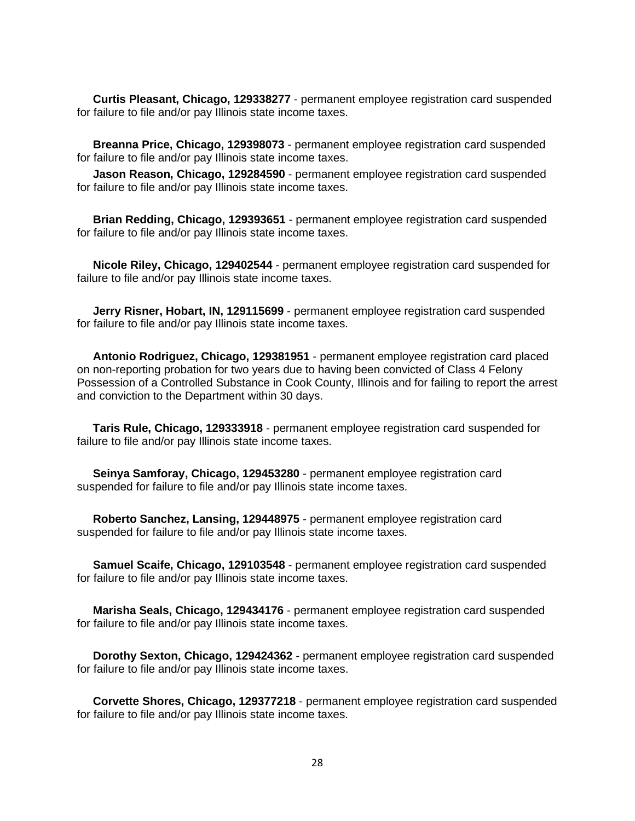**Curtis Pleasant, Chicago, 129338277** - permanent employee registration card suspended for failure to file and/or pay Illinois state income taxes.

 **Breanna Price, Chicago, 129398073** - permanent employee registration card suspended for failure to file and/or pay Illinois state income taxes.

 **Jason Reason, Chicago, 129284590** - permanent employee registration card suspended for failure to file and/or pay Illinois state income taxes.

 **Brian Redding, Chicago, 129393651** - permanent employee registration card suspended for failure to file and/or pay Illinois state income taxes.

 **Nicole Riley, Chicago, 129402544** - permanent employee registration card suspended for failure to file and/or pay Illinois state income taxes.

 **Jerry Risner, Hobart, IN, 129115699** - permanent employee registration card suspended for failure to file and/or pay Illinois state income taxes.

 **Antonio Rodriguez, Chicago, 129381951** - permanent employee registration card placed on non-reporting probation for two years due to having been convicted of Class 4 Felony Possession of a Controlled Substance in Cook County, Illinois and for failing to report the arrest and conviction to the Department within 30 days.

 **Taris Rule, Chicago, 129333918** - permanent employee registration card suspended for failure to file and/or pay Illinois state income taxes.

 **Seinya Samforay, Chicago, 129453280** - permanent employee registration card suspended for failure to file and/or pay Illinois state income taxes.

 **Roberto Sanchez, Lansing, 129448975** - permanent employee registration card suspended for failure to file and/or pay Illinois state income taxes.

 **Samuel Scaife, Chicago, 129103548** - permanent employee registration card suspended for failure to file and/or pay Illinois state income taxes.

 **Marisha Seals, Chicago, 129434176** - permanent employee registration card suspended for failure to file and/or pay Illinois state income taxes.

 **Dorothy Sexton, Chicago, 129424362** - permanent employee registration card suspended for failure to file and/or pay Illinois state income taxes.

 **Corvette Shores, Chicago, 129377218** - permanent employee registration card suspended for failure to file and/or pay Illinois state income taxes.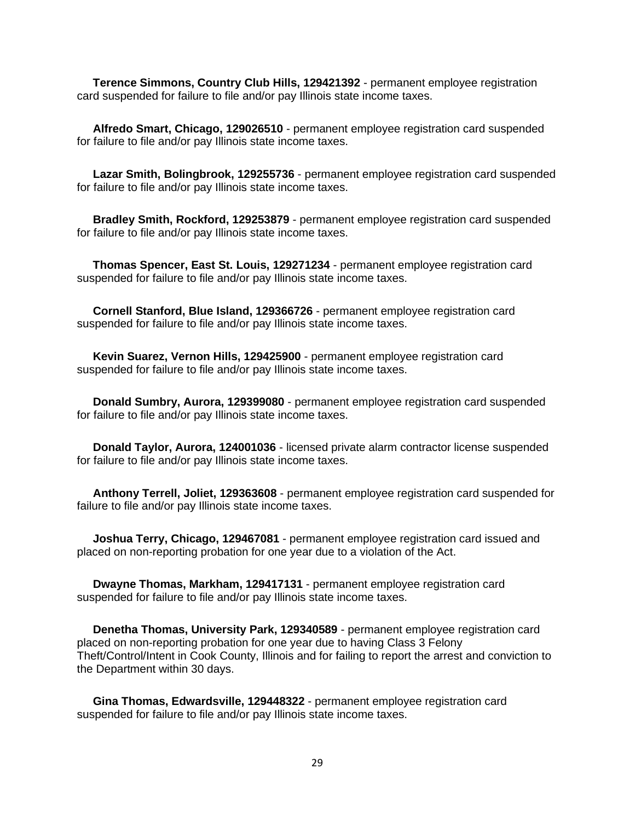**Terence Simmons, Country Club Hills, 129421392** - permanent employee registration card suspended for failure to file and/or pay Illinois state income taxes.

 **Alfredo Smart, Chicago, 129026510** - permanent employee registration card suspended for failure to file and/or pay Illinois state income taxes.

 **Lazar Smith, Bolingbrook, 129255736** - permanent employee registration card suspended for failure to file and/or pay Illinois state income taxes.

 **Bradley Smith, Rockford, 129253879** - permanent employee registration card suspended for failure to file and/or pay Illinois state income taxes.

 **Thomas Spencer, East St. Louis, 129271234** - permanent employee registration card suspended for failure to file and/or pay Illinois state income taxes.

 **Cornell Stanford, Blue Island, 129366726** - permanent employee registration card suspended for failure to file and/or pay Illinois state income taxes.

 **Kevin Suarez, Vernon Hills, 129425900** - permanent employee registration card suspended for failure to file and/or pay Illinois state income taxes.

 **Donald Sumbry, Aurora, 129399080** - permanent employee registration card suspended for failure to file and/or pay Illinois state income taxes.

 **Donald Taylor, Aurora, 124001036** - licensed private alarm contractor license suspended for failure to file and/or pay Illinois state income taxes.

 **Anthony Terrell, Joliet, 129363608** - permanent employee registration card suspended for failure to file and/or pay Illinois state income taxes.

 **Joshua Terry, Chicago, 129467081** - permanent employee registration card issued and placed on non-reporting probation for one year due to a violation of the Act.

 **Dwayne Thomas, Markham, 129417131** - permanent employee registration card suspended for failure to file and/or pay Illinois state income taxes.

 **Denetha Thomas, University Park, 129340589** - permanent employee registration card placed on non-reporting probation for one year due to having Class 3 Felony Theft/Control/Intent in Cook County, Illinois and for failing to report the arrest and conviction to the Department within 30 days.

 **Gina Thomas, Edwardsville, 129448322** - permanent employee registration card suspended for failure to file and/or pay Illinois state income taxes.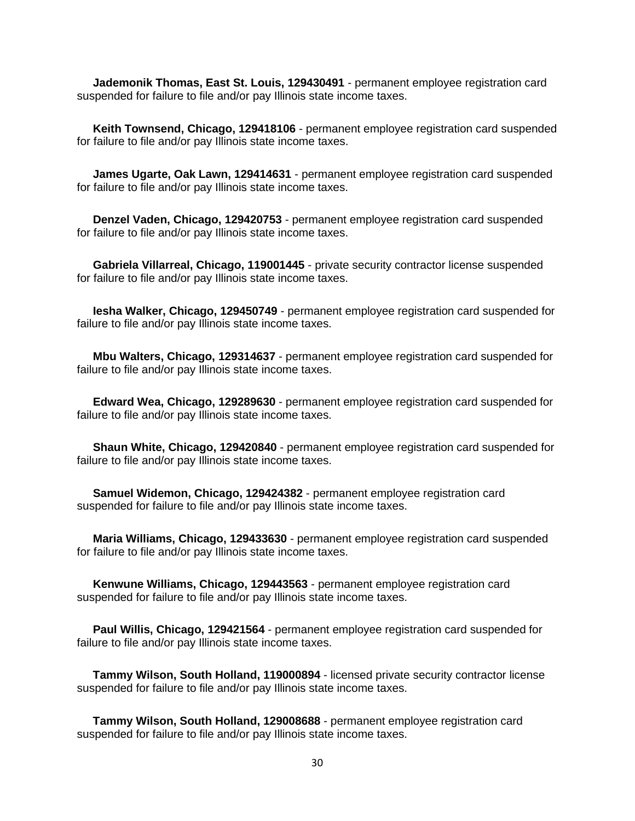**Jademonik Thomas, East St. Louis, 129430491** - permanent employee registration card suspended for failure to file and/or pay Illinois state income taxes.

 **Keith Townsend, Chicago, 129418106** - permanent employee registration card suspended for failure to file and/or pay Illinois state income taxes.

 **James Ugarte, Oak Lawn, 129414631** - permanent employee registration card suspended for failure to file and/or pay Illinois state income taxes.

 **Denzel Vaden, Chicago, 129420753** - permanent employee registration card suspended for failure to file and/or pay Illinois state income taxes.

 **Gabriela Villarreal, Chicago, 119001445** - private security contractor license suspended for failure to file and/or pay Illinois state income taxes.

 **Iesha Walker, Chicago, 129450749** - permanent employee registration card suspended for failure to file and/or pay Illinois state income taxes.

 **Mbu Walters, Chicago, 129314637** - permanent employee registration card suspended for failure to file and/or pay Illinois state income taxes.

 **Edward Wea, Chicago, 129289630** - permanent employee registration card suspended for failure to file and/or pay Illinois state income taxes.

 **Shaun White, Chicago, 129420840** - permanent employee registration card suspended for failure to file and/or pay Illinois state income taxes.

 **Samuel Widemon, Chicago, 129424382** - permanent employee registration card suspended for failure to file and/or pay Illinois state income taxes.

 **Maria Williams, Chicago, 129433630** - permanent employee registration card suspended for failure to file and/or pay Illinois state income taxes.

 **Kenwune Williams, Chicago, 129443563** - permanent employee registration card suspended for failure to file and/or pay Illinois state income taxes.

 **Paul Willis, Chicago, 129421564** - permanent employee registration card suspended for failure to file and/or pay Illinois state income taxes.

 **Tammy Wilson, South Holland, 119000894** - licensed private security contractor license suspended for failure to file and/or pay Illinois state income taxes.

 **Tammy Wilson, South Holland, 129008688** - permanent employee registration card suspended for failure to file and/or pay Illinois state income taxes.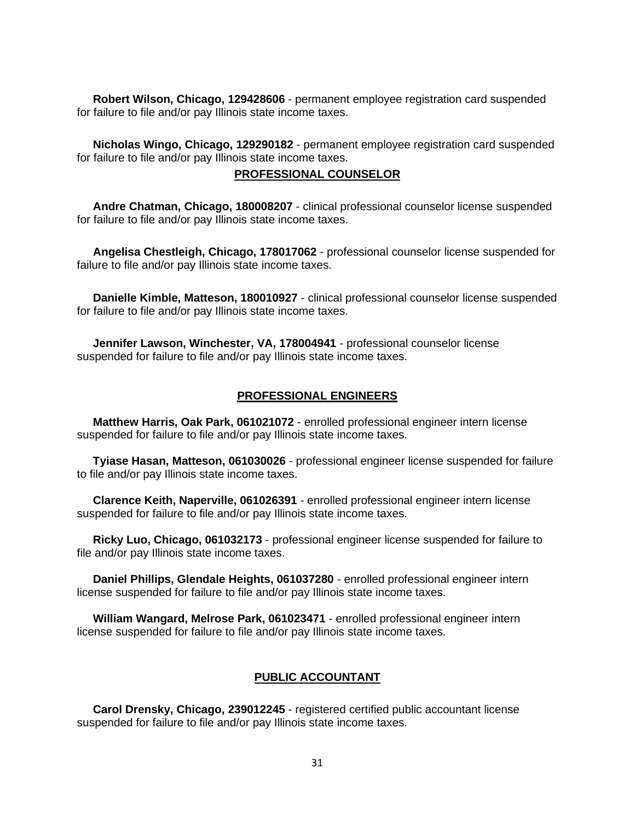**Robert Wilson, Chicago, 129428606** - permanent employee registration card suspended for failure to file and/or pay Illinois state income taxes.

 **Nicholas Wingo, Chicago, 129290182** - permanent employee registration card suspended for failure to file and/or pay Illinois state income taxes.

# **PROFESSIONAL COUNSELOR**

 **Andre Chatman, Chicago, 180008207** - clinical professional counselor license suspended for failure to file and/or pay Illinois state income taxes.

 **Angelisa Chestleigh, Chicago, 178017062** - professional counselor license suspended for failure to file and/or pay Illinois state income taxes.

 **Danielle Kimble, Matteson, 180010927** - clinical professional counselor license suspended for failure to file and/or pay Illinois state income taxes.

 **Jennifer Lawson, Winchester, VA, 178004941** - professional counselor license suspended for failure to file and/or pay Illinois state income taxes.

## **PROFESSIONAL ENGINEERS**

 **Matthew Harris, Oak Park, 061021072** - enrolled professional engineer intern license suspended for failure to file and/or pay Illinois state income taxes.

 **Tyiase Hasan, Matteson, 061030026** - professional engineer license suspended for failure to file and/or pay Illinois state income taxes.

 **Clarence Keith, Naperville, 061026391** - enrolled professional engineer intern license suspended for failure to file and/or pay Illinois state income taxes.

 **Ricky Luo, Chicago, 061032173** - professional engineer license suspended for failure to file and/or pay Illinois state income taxes.

 **Daniel Phillips, Glendale Heights, 061037280** - enrolled professional engineer intern license suspended for failure to file and/or pay Illinois state income taxes.

 **William Wangard, Melrose Park, 061023471** - enrolled professional engineer intern license suspended for failure to file and/or pay Illinois state income taxes.

#### **PUBLIC ACCOUNTANT**

 **Carol Drensky, Chicago, 239012245** - registered certified public accountant license suspended for failure to file and/or pay Illinois state income taxes.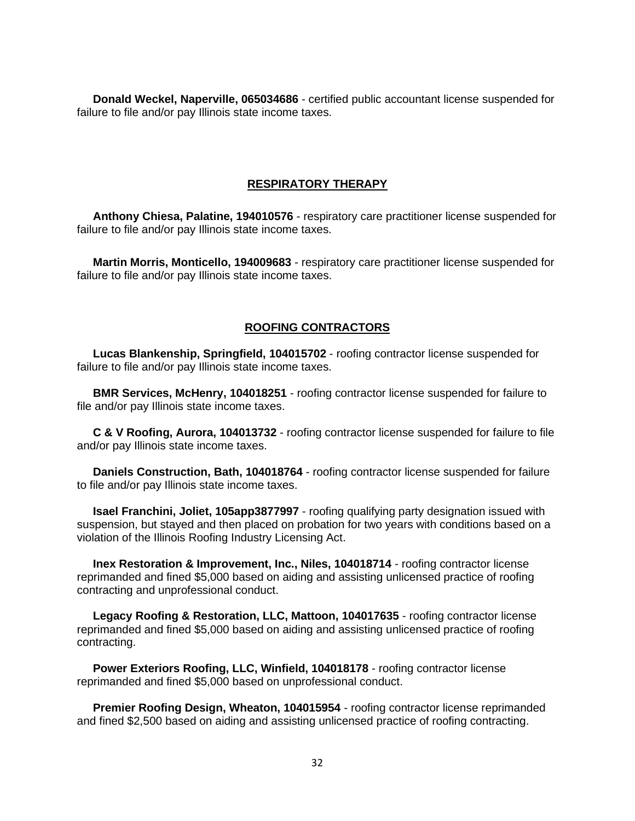**Donald Weckel, Naperville, 065034686** - certified public accountant license suspended for failure to file and/or pay Illinois state income taxes.

### **RESPIRATORY THERAPY**

 **Anthony Chiesa, Palatine, 194010576** - respiratory care practitioner license suspended for failure to file and/or pay Illinois state income taxes.

 **Martin Morris, Monticello, 194009683** - respiratory care practitioner license suspended for failure to file and/or pay Illinois state income taxes.

## **ROOFING CONTRACTORS**

 **Lucas Blankenship, Springfield, 104015702** - roofing contractor license suspended for failure to file and/or pay Illinois state income taxes.

 **BMR Services, McHenry, 104018251** - roofing contractor license suspended for failure to file and/or pay Illinois state income taxes.

 **C & V Roofing, Aurora, 104013732** - roofing contractor license suspended for failure to file and/or pay Illinois state income taxes.

 **Daniels Construction, Bath, 104018764** - roofing contractor license suspended for failure to file and/or pay Illinois state income taxes.

 **Isael Franchini, Joliet, 105app3877997** - roofing qualifying party designation issued with suspension, but stayed and then placed on probation for two years with conditions based on a violation of the Illinois Roofing Industry Licensing Act.

 **Inex Restoration & Improvement, Inc., Niles, 104018714** - roofing contractor license reprimanded and fined \$5,000 based on aiding and assisting unlicensed practice of roofing contracting and unprofessional conduct.

 **Legacy Roofing & Restoration, LLC, Mattoon, 104017635** - roofing contractor license reprimanded and fined \$5,000 based on aiding and assisting unlicensed practice of roofing contracting.

 **Power Exteriors Roofing, LLC, Winfield, 104018178** - roofing contractor license reprimanded and fined \$5,000 based on unprofessional conduct.

 **Premier Roofing Design, Wheaton, 104015954** - roofing contractor license reprimanded and fined \$2,500 based on aiding and assisting unlicensed practice of roofing contracting.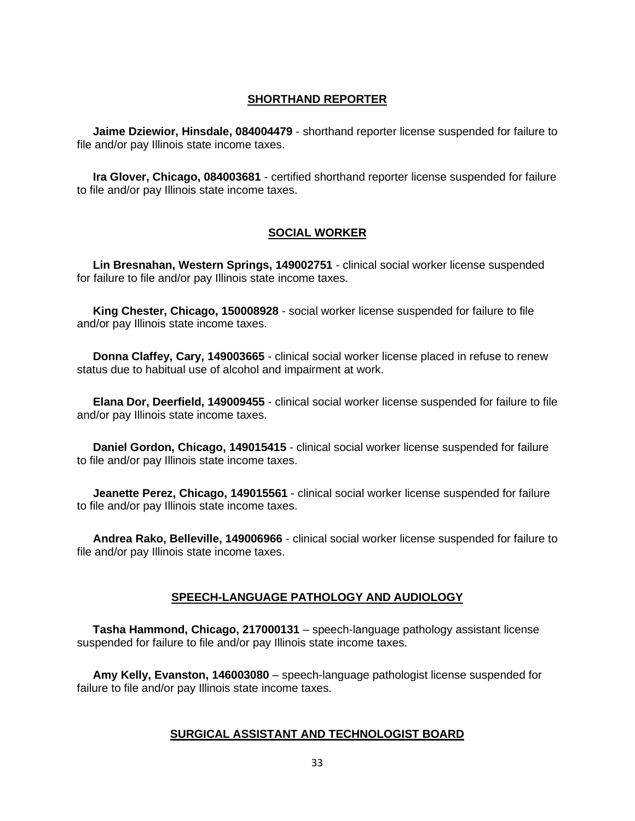# **SHORTHAND REPORTER**

 **Jaime Dziewior, Hinsdale, 084004479** - shorthand reporter license suspended for failure to file and/or pay Illinois state income taxes.

 **Ira Glover, Chicago, 084003681** - certified shorthand reporter license suspended for failure to file and/or pay Illinois state income taxes.

# **SOCIAL WORKER**

 **Lin Bresnahan, Western Springs, 149002751** - clinical social worker license suspended for failure to file and/or pay Illinois state income taxes.

 **King Chester, Chicago, 150008928** - social worker license suspended for failure to file and/or pay Illinois state income taxes.

 **Donna Claffey, Cary, 149003665** - clinical social worker license placed in refuse to renew status due to habitual use of alcohol and impairment at work.

 **Elana Dor, Deerfield, 149009455** - clinical social worker license suspended for failure to file and/or pay Illinois state income taxes.

 **Daniel Gordon, Chicago, 149015415** - clinical social worker license suspended for failure to file and/or pay Illinois state income taxes.

 **Jeanette Perez, Chicago, 149015561** - clinical social worker license suspended for failure to file and/or pay Illinois state income taxes.

 **Andrea Rako, Belleville, 149006966** - clinical social worker license suspended for failure to file and/or pay Illinois state income taxes.

# **SPEECH-LANGUAGE PATHOLOGY AND AUDIOLOGY**

 **Tasha Hammond, Chicago, 217000131** – speech-language pathology assistant license suspended for failure to file and/or pay Illinois state income taxes.

 **Amy Kelly, Evanston, 146003080** – speech-language pathologist license suspended for failure to file and/or pay Illinois state income taxes.

# **SURGICAL ASSISTANT AND TECHNOLOGIST BOARD**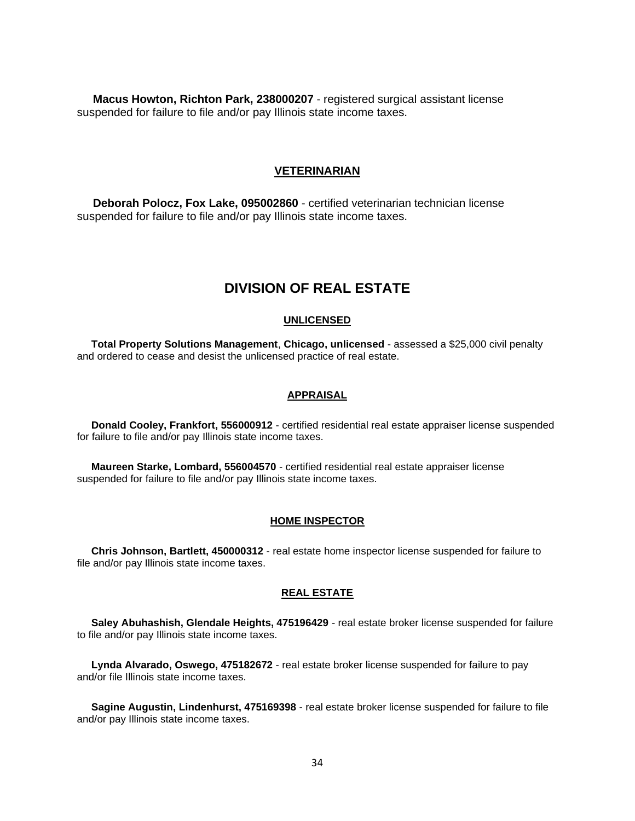**Macus Howton, Richton Park, 238000207** - registered surgical assistant license suspended for failure to file and/or pay Illinois state income taxes.

### **VETERINARIAN**

 **Deborah Polocz, Fox Lake, 095002860** - certified veterinarian technician license suspended for failure to file and/or pay Illinois state income taxes.

# **DIVISION OF REAL ESTATE**

#### **UNLICENSED**

 **Total Property Solutions Management**, **Chicago, unlicensed** - assessed a \$25,000 civil penalty and ordered to cease and desist the unlicensed practice of real estate.

#### **APPRAISAL**

 **Donald Cooley, Frankfort, 556000912** - certified residential real estate appraiser license suspended for failure to file and/or pay Illinois state income taxes.

 **Maureen Starke, Lombard, 556004570** - certified residential real estate appraiser license suspended for failure to file and/or pay Illinois state income taxes.

#### **HOME INSPECTOR**

 **Chris Johnson, Bartlett, 450000312** - real estate home inspector license suspended for failure to file and/or pay Illinois state income taxes.

#### **REAL ESTATE**

 **Saley Abuhashish, Glendale Heights, 475196429** - real estate broker license suspended for failure to file and/or pay Illinois state income taxes.

 **Lynda Alvarado, Oswego, 475182672** - real estate broker license suspended for failure to pay and/or file Illinois state income taxes.

 **Sagine Augustin, Lindenhurst, 475169398** - real estate broker license suspended for failure to file and/or pay Illinois state income taxes.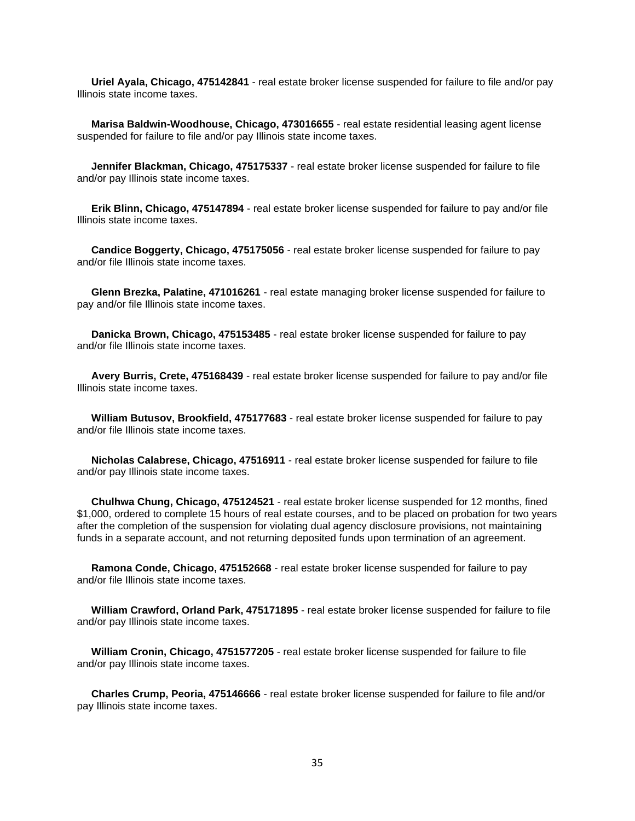**Uriel Ayala, Chicago, 475142841** - real estate broker license suspended for failure to file and/or pay Illinois state income taxes.

 **Marisa Baldwin-Woodhouse, Chicago, 473016655** - real estate residential leasing agent license suspended for failure to file and/or pay Illinois state income taxes.

 **Jennifer Blackman, Chicago, 475175337** - real estate broker license suspended for failure to file and/or pay Illinois state income taxes.

 **Erik Blinn, Chicago, 475147894** - real estate broker license suspended for failure to pay and/or file Illinois state income taxes.

 **Candice Boggerty, Chicago, 475175056** - real estate broker license suspended for failure to pay and/or file Illinois state income taxes.

 **Glenn Brezka, Palatine, 471016261** - real estate managing broker license suspended for failure to pay and/or file Illinois state income taxes.

 **Danicka Brown, Chicago, 475153485** - real estate broker license suspended for failure to pay and/or file Illinois state income taxes.

 **Avery Burris, Crete, 475168439** - real estate broker license suspended for failure to pay and/or file Illinois state income taxes.

 **William Butusov, Brookfield, 475177683** - real estate broker license suspended for failure to pay and/or file Illinois state income taxes.

 **Nicholas Calabrese, Chicago, 47516911** - real estate broker license suspended for failure to file and/or pay Illinois state income taxes.

 **Chulhwa Chung, Chicago, 475124521** - real estate broker license suspended for 12 months, fined \$1,000, ordered to complete 15 hours of real estate courses, and to be placed on probation for two years after the completion of the suspension for violating dual agency disclosure provisions, not maintaining funds in a separate account, and not returning deposited funds upon termination of an agreement.

 **Ramona Conde, Chicago, 475152668** - real estate broker license suspended for failure to pay and/or file Illinois state income taxes.

 **William Crawford, Orland Park, 475171895** - real estate broker license suspended for failure to file and/or pay Illinois state income taxes.

 **William Cronin, Chicago, 4751577205** - real estate broker license suspended for failure to file and/or pay Illinois state income taxes.

 **Charles Crump, Peoria, 475146666** - real estate broker license suspended for failure to file and/or pay Illinois state income taxes.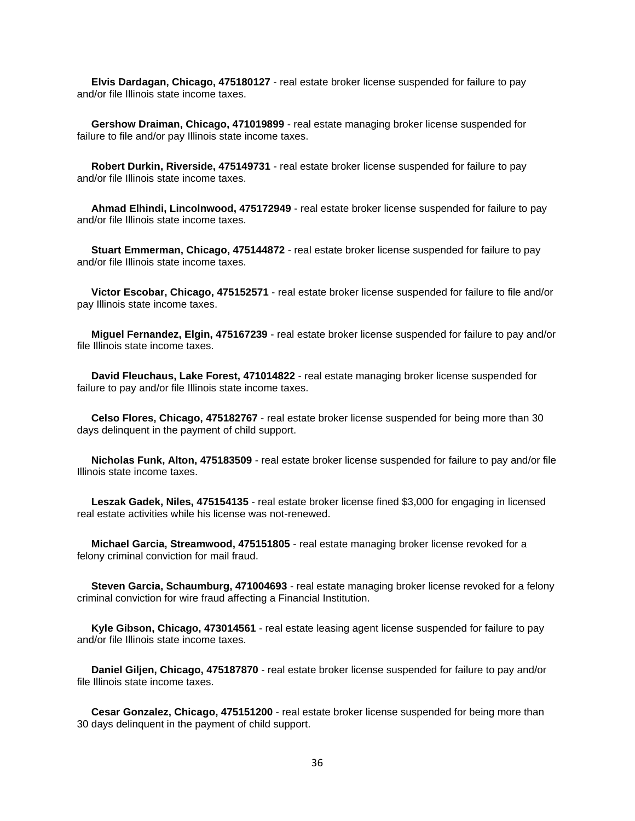**Elvis Dardagan, Chicago, 475180127** - real estate broker license suspended for failure to pay and/or file Illinois state income taxes.

 **Gershow Draiman, Chicago, 471019899** - real estate managing broker license suspended for failure to file and/or pay Illinois state income taxes.

 **Robert Durkin, Riverside, 475149731** - real estate broker license suspended for failure to pay and/or file Illinois state income taxes.

 **Ahmad Elhindi, Lincolnwood, 475172949** - real estate broker license suspended for failure to pay and/or file Illinois state income taxes.

 **Stuart Emmerman, Chicago, 475144872** - real estate broker license suspended for failure to pay and/or file Illinois state income taxes.

 **Victor Escobar, Chicago, 475152571** - real estate broker license suspended for failure to file and/or pay Illinois state income taxes.

 **Miguel Fernandez, Elgin, 475167239** - real estate broker license suspended for failure to pay and/or file Illinois state income taxes.

 **David Fleuchaus, Lake Forest, 471014822** - real estate managing broker license suspended for failure to pay and/or file Illinois state income taxes.

 **Celso Flores, Chicago, 475182767** - real estate broker license suspended for being more than 30 days delinquent in the payment of child support.

 **Nicholas Funk, Alton, 475183509** - real estate broker license suspended for failure to pay and/or file Illinois state income taxes.

 **Leszak Gadek, Niles, 475154135** - real estate broker license fined \$3,000 for engaging in licensed real estate activities while his license was not-renewed.

 **Michael Garcia, Streamwood, 475151805** - real estate managing broker license revoked for a felony criminal conviction for mail fraud.

 **Steven Garcia, Schaumburg, 471004693** - real estate managing broker license revoked for a felony criminal conviction for wire fraud affecting a Financial Institution.

 **Kyle Gibson, Chicago, 473014561** - real estate leasing agent license suspended for failure to pay and/or file Illinois state income taxes.

 **Daniel Giljen, Chicago, 475187870** - real estate broker license suspended for failure to pay and/or file Illinois state income taxes.

 **Cesar Gonzalez, Chicago, 475151200** - real estate broker license suspended for being more than 30 days delinquent in the payment of child support.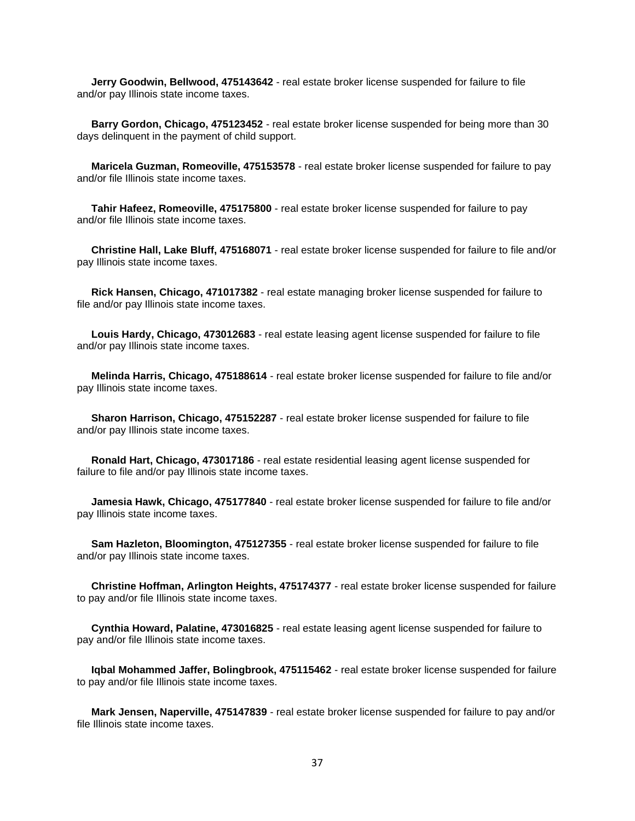**Jerry Goodwin, Bellwood, 475143642** - real estate broker license suspended for failure to file and/or pay Illinois state income taxes.

 **Barry Gordon, Chicago, 475123452** - real estate broker license suspended for being more than 30 days delinquent in the payment of child support.

 **Maricela Guzman, Romeoville, 475153578** - real estate broker license suspended for failure to pay and/or file Illinois state income taxes.

 **Tahir Hafeez, Romeoville, 475175800** - real estate broker license suspended for failure to pay and/or file Illinois state income taxes.

 **Christine Hall, Lake Bluff, 475168071** - real estate broker license suspended for failure to file and/or pay Illinois state income taxes.

 **Rick Hansen, Chicago, 471017382** - real estate managing broker license suspended for failure to file and/or pay Illinois state income taxes.

 **Louis Hardy, Chicago, 473012683** - real estate leasing agent license suspended for failure to file and/or pay Illinois state income taxes.

 **Melinda Harris, Chicago, 475188614** - real estate broker license suspended for failure to file and/or pay Illinois state income taxes.

 **Sharon Harrison, Chicago, 475152287** - real estate broker license suspended for failure to file and/or pay Illinois state income taxes.

 **Ronald Hart, Chicago, 473017186** - real estate residential leasing agent license suspended for failure to file and/or pay Illinois state income taxes.

 **Jamesia Hawk, Chicago, 475177840** - real estate broker license suspended for failure to file and/or pay Illinois state income taxes.

 **Sam Hazleton, Bloomington, 475127355** - real estate broker license suspended for failure to file and/or pay Illinois state income taxes.

 **Christine Hoffman, Arlington Heights, 475174377** - real estate broker license suspended for failure to pay and/or file Illinois state income taxes.

 **Cynthia Howard, Palatine, 473016825** - real estate leasing agent license suspended for failure to pay and/or file Illinois state income taxes.

 **Iqbal Mohammed Jaffer, Bolingbrook, 475115462** - real estate broker license suspended for failure to pay and/or file Illinois state income taxes.

 **Mark Jensen, Naperville, 475147839** - real estate broker license suspended for failure to pay and/or file Illinois state income taxes.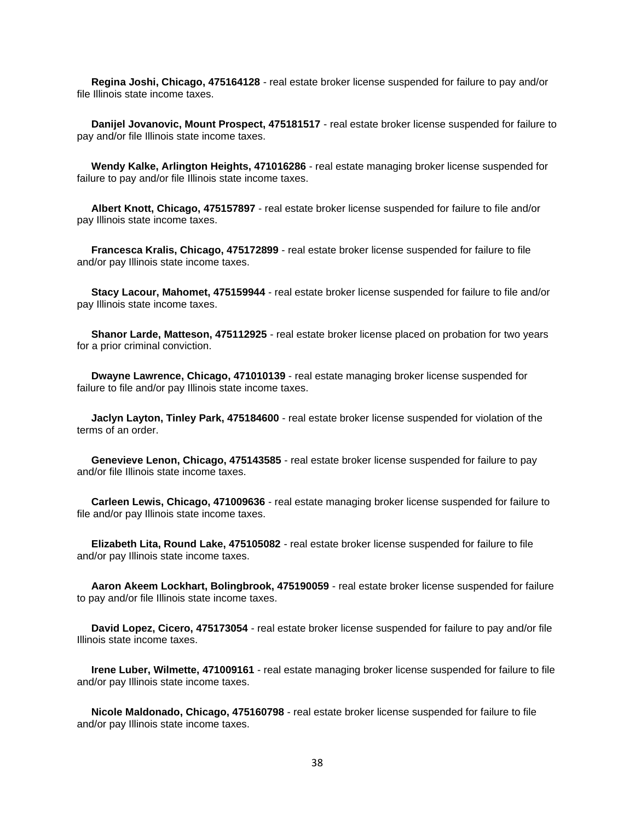**Regina Joshi, Chicago, 475164128** - real estate broker license suspended for failure to pay and/or file Illinois state income taxes.

 **Danijel Jovanovic, Mount Prospect, 475181517** - real estate broker license suspended for failure to pay and/or file Illinois state income taxes.

 **Wendy Kalke, Arlington Heights, 471016286** - real estate managing broker license suspended for failure to pay and/or file Illinois state income taxes.

 **Albert Knott, Chicago, 475157897** - real estate broker license suspended for failure to file and/or pay Illinois state income taxes.

 **Francesca Kralis, Chicago, 475172899** - real estate broker license suspended for failure to file and/or pay Illinois state income taxes.

 **Stacy Lacour, Mahomet, 475159944** - real estate broker license suspended for failure to file and/or pay Illinois state income taxes.

 **Shanor Larde, Matteson, 475112925** - real estate broker license placed on probation for two years for a prior criminal conviction.

 **Dwayne Lawrence, Chicago, 471010139** - real estate managing broker license suspended for failure to file and/or pay Illinois state income taxes.

 **Jaclyn Layton, Tinley Park, 475184600** - real estate broker license suspended for violation of the terms of an order.

 **Genevieve Lenon, Chicago, 475143585** - real estate broker license suspended for failure to pay and/or file Illinois state income taxes.

 **Carleen Lewis, Chicago, 471009636** - real estate managing broker license suspended for failure to file and/or pay Illinois state income taxes.

 **Elizabeth Lita, Round Lake, 475105082** - real estate broker license suspended for failure to file and/or pay Illinois state income taxes.

 **Aaron Akeem Lockhart, Bolingbrook, 475190059** - real estate broker license suspended for failure to pay and/or file Illinois state income taxes.

 **David Lopez, Cicero, 475173054** - real estate broker license suspended for failure to pay and/or file Illinois state income taxes.

 **Irene Luber, Wilmette, 471009161** - real estate managing broker license suspended for failure to file and/or pay Illinois state income taxes.

 **Nicole Maldonado, Chicago, 475160798** - real estate broker license suspended for failure to file and/or pay Illinois state income taxes.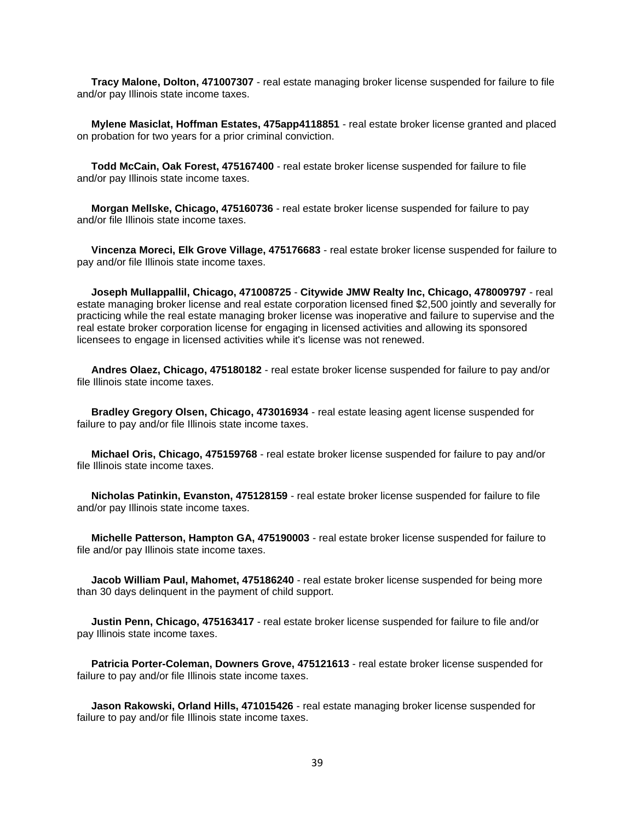**Tracy Malone, Dolton, 471007307** - real estate managing broker license suspended for failure to file and/or pay Illinois state income taxes.

 **Mylene Masiclat, Hoffman Estates, 475app4118851** - real estate broker license granted and placed on probation for two years for a prior criminal conviction.

 **Todd McCain, Oak Forest, 475167400** - real estate broker license suspended for failure to file and/or pay Illinois state income taxes.

 **Morgan Mellske, Chicago, 475160736** - real estate broker license suspended for failure to pay and/or file Illinois state income taxes.

 **Vincenza Moreci, Elk Grove Village, 475176683** - real estate broker license suspended for failure to pay and/or file Illinois state income taxes.

 **Joseph Mullappallil, Chicago, 471008725** - **Citywide JMW Realty Inc, Chicago, 478009797** - real estate managing broker license and real estate corporation licensed fined \$2,500 jointly and severally for practicing while the real estate managing broker license was inoperative and failure to supervise and the real estate broker corporation license for engaging in licensed activities and allowing its sponsored licensees to engage in licensed activities while it's license was not renewed.

 **Andres Olaez, Chicago, 475180182** - real estate broker license suspended for failure to pay and/or file Illinois state income taxes.

 **Bradley Gregory Olsen, Chicago, 473016934** - real estate leasing agent license suspended for failure to pay and/or file Illinois state income taxes.

 **Michael Oris, Chicago, 475159768** - real estate broker license suspended for failure to pay and/or file Illinois state income taxes.

 **Nicholas Patinkin, Evanston, 475128159** - real estate broker license suspended for failure to file and/or pay Illinois state income taxes.

 **Michelle Patterson, Hampton GA, 475190003** - real estate broker license suspended for failure to file and/or pay Illinois state income taxes.

 **Jacob William Paul, Mahomet, 475186240** - real estate broker license suspended for being more than 30 days delinquent in the payment of child support.

 **Justin Penn, Chicago, 475163417** - real estate broker license suspended for failure to file and/or pay Illinois state income taxes.

 **Patricia Porter-Coleman, Downers Grove, 475121613** - real estate broker license suspended for failure to pay and/or file Illinois state income taxes.

 **Jason Rakowski, Orland Hills, 471015426** - real estate managing broker license suspended for failure to pay and/or file Illinois state income taxes.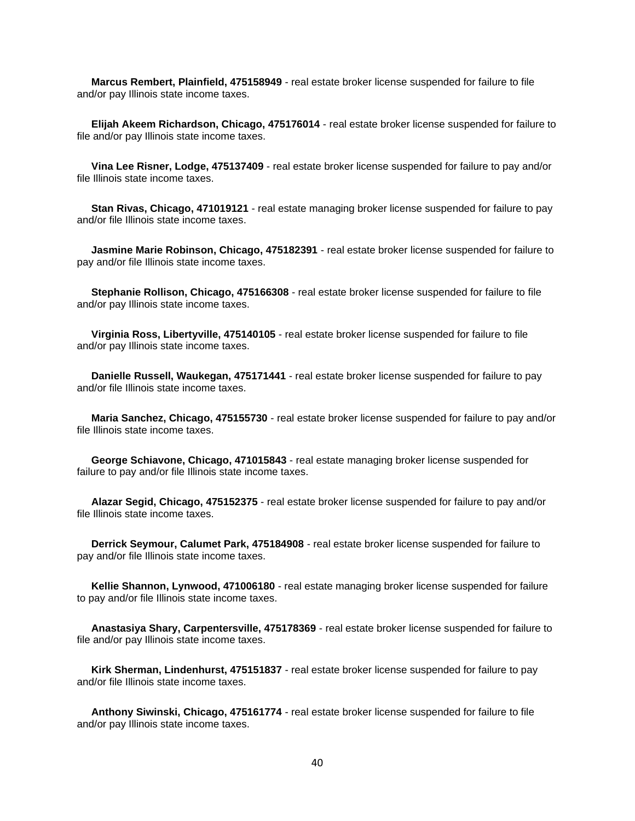**Marcus Rembert, Plainfield, 475158949** - real estate broker license suspended for failure to file and/or pay Illinois state income taxes.

 **Elijah Akeem Richardson, Chicago, 475176014** - real estate broker license suspended for failure to file and/or pay Illinois state income taxes.

 **Vina Lee Risner, Lodge, 475137409** - real estate broker license suspended for failure to pay and/or file Illinois state income taxes.

 **Stan Rivas, Chicago, 471019121** - real estate managing broker license suspended for failure to pay and/or file Illinois state income taxes.

 **Jasmine Marie Robinson, Chicago, 475182391** - real estate broker license suspended for failure to pay and/or file Illinois state income taxes.

 **Stephanie Rollison, Chicago, 475166308** - real estate broker license suspended for failure to file and/or pay Illinois state income taxes.

 **Virginia Ross, Libertyville, 475140105** - real estate broker license suspended for failure to file and/or pay Illinois state income taxes.

 **Danielle Russell, Waukegan, 475171441** - real estate broker license suspended for failure to pay and/or file Illinois state income taxes.

 **Maria Sanchez, Chicago, 475155730** - real estate broker license suspended for failure to pay and/or file Illinois state income taxes.

 **George Schiavone, Chicago, 471015843** - real estate managing broker license suspended for failure to pay and/or file Illinois state income taxes.

 **Alazar Segid, Chicago, 475152375** - real estate broker license suspended for failure to pay and/or file Illinois state income taxes.

 **Derrick Seymour, Calumet Park, 475184908** - real estate broker license suspended for failure to pay and/or file Illinois state income taxes.

 **Kellie Shannon, Lynwood, 471006180** - real estate managing broker license suspended for failure to pay and/or file Illinois state income taxes.

 **Anastasiya Shary, Carpentersville, 475178369** - real estate broker license suspended for failure to file and/or pay Illinois state income taxes.

 **Kirk Sherman, Lindenhurst, 475151837** - real estate broker license suspended for failure to pay and/or file Illinois state income taxes.

 **Anthony Siwinski, Chicago, 475161774** - real estate broker license suspended for failure to file and/or pay Illinois state income taxes.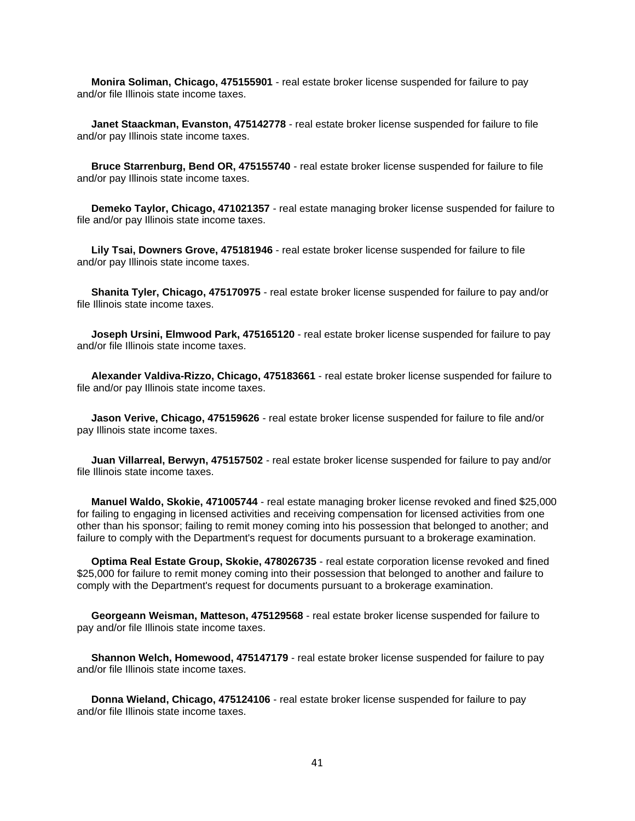**Monira Soliman, Chicago, 475155901** - real estate broker license suspended for failure to pay and/or file Illinois state income taxes.

 **Janet Staackman, Evanston, 475142778** - real estate broker license suspended for failure to file and/or pay Illinois state income taxes.

 **Bruce Starrenburg, Bend OR, 475155740** - real estate broker license suspended for failure to file and/or pay Illinois state income taxes.

 **Demeko Taylor, Chicago, 471021357** - real estate managing broker license suspended for failure to file and/or pay Illinois state income taxes.

 **Lily Tsai, Downers Grove, 475181946** - real estate broker license suspended for failure to file and/or pay Illinois state income taxes.

 **Shanita Tyler, Chicago, 475170975** - real estate broker license suspended for failure to pay and/or file Illinois state income taxes.

 **Joseph Ursini, Elmwood Park, 475165120** - real estate broker license suspended for failure to pay and/or file Illinois state income taxes.

 **Alexander Valdiva-Rizzo, Chicago, 475183661** - real estate broker license suspended for failure to file and/or pay Illinois state income taxes.

 **Jason Verive, Chicago, 475159626** - real estate broker license suspended for failure to file and/or pay Illinois state income taxes.

 **Juan Villarreal, Berwyn, 475157502** - real estate broker license suspended for failure to pay and/or file Illinois state income taxes.

 **Manuel Waldo, Skokie, 471005744** - real estate managing broker license revoked and fined \$25,000 for failing to engaging in licensed activities and receiving compensation for licensed activities from one other than his sponsor; failing to remit money coming into his possession that belonged to another; and failure to comply with the Department's request for documents pursuant to a brokerage examination.

 **Optima Real Estate Group, Skokie, 478026735** - real estate corporation license revoked and fined \$25,000 for failure to remit money coming into their possession that belonged to another and failure to comply with the Department's request for documents pursuant to a brokerage examination.

 **Georgeann Weisman, Matteson, 475129568** - real estate broker license suspended for failure to pay and/or file Illinois state income taxes.

 **Shannon Welch, Homewood, 475147179** - real estate broker license suspended for failure to pay and/or file Illinois state income taxes.

 **Donna Wieland, Chicago, 475124106** - real estate broker license suspended for failure to pay and/or file Illinois state income taxes.